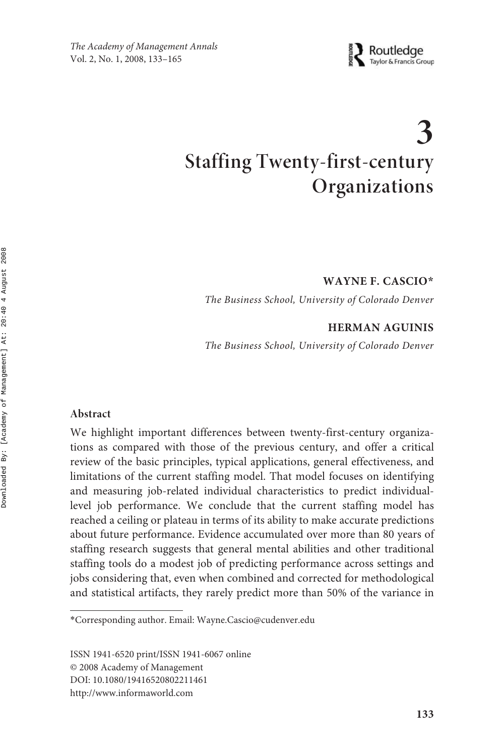

# **3 Staffing Twenty-first-century Organizations**

**WAYNE F. CASCIO\***

*The Business School, University of Colorado Denver*

# **HERMAN AGUINIS**

*The Business School, University of Colorado Denver*

# Abstract

We highlight important differences between twenty-first-century organizations as compared with those of the previous century, and offer a critical review of the basic principles, typical applications, general effectiveness, and limitations of the current staffing model. That model focuses on identifying and measuring job-related individual characteristics to predict individuallevel job performance. We conclude that the current staffing model has reached a ceiling or plateau in terms of its ability to make accurate predictions about future performance. Evidence accumulated over more than 80 years of staffing research suggests that general mental abilities and other traditional staffing tools do a modest job of predicting performance across settings and jobs considering that, even when combined and corrected for methodological and statistical artifacts, they rarely predict more than 50% of the variance in

<sup>\*</sup>Corresponding author. Email: Wayne.Cascio@cudenver.edu

ISSN 1941-6520 print/ISSN 1941-6067 online

<sup>© 2008</sup> Academy of Management

DOI: 10.1080/19416520802211461

http://www.informaworld.com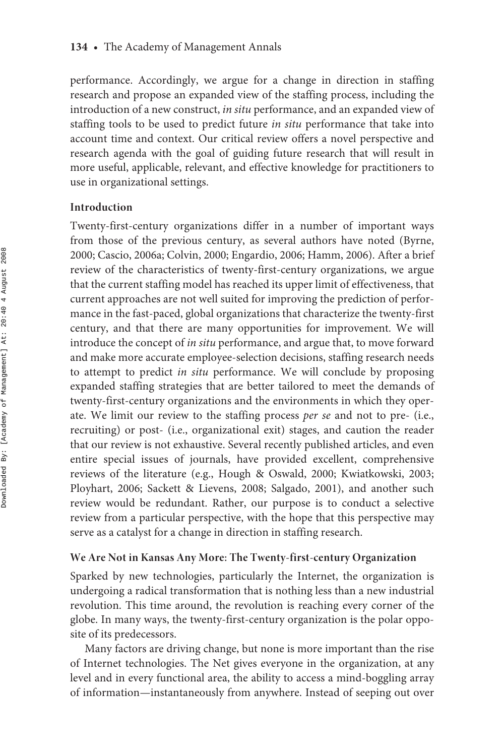performance. Accordingly, we argue for a change in direction in staffing research and propose an expanded view of the staffing process, including the introduction of a new construct, *in situ* performance, and an expanded view of staffing tools to be used to predict future *in situ* performance that take into account time and context. Our critical review offers a novel perspective and research agenda with the goal of guiding future research that will result in more useful, applicable, relevant, and effective knowledge for practitioners to use in organizational settings.

## **Introduction**

Twenty-first-century organizations differ in a number of important ways from those of the previous century, as several authors have noted (Byrne, 2000; Cascio, 2006a; Colvin, 2000; Engardio, 2006; Hamm, 2006). After a brief review of the characteristics of twenty-first-century organizations, we argue that the current staffing model has reached its upper limit of effectiveness, that current approaches are not well suited for improving the prediction of performance in the fast-paced, global organizations that characterize the twenty-first century, and that there are many opportunities for improvement. We will introduce the concept of *in situ* performance, and argue that, to move forward and make more accurate employee-selection decisions, staffing research needs to attempt to predict *in situ* performance. We will conclude by proposing expanded staffing strategies that are better tailored to meet the demands of twenty-first-century organizations and the environments in which they operate. We limit our review to the staffing process *per se* and not to pre- (i.e., recruiting) or post- (i.e., organizational exit) stages, and caution the reader that our review is not exhaustive. Several recently published articles, and even entire special issues of journals, have provided excellent, comprehensive reviews of the literature (e.g., Hough & Oswald, 2000; Kwiatkowski, 2003; Ployhart, 2006; Sackett & Lievens, 2008; Salgado, 2001), and another such review would be redundant. Rather, our purpose is to conduct a selective review from a particular perspective, with the hope that this perspective may serve as a catalyst for a change in direction in staffing research.

#### **We Are Not in Kansas Any More: The Twenty-first-century Organization**

Sparked by new technologies, particularly the Internet, the organization is undergoing a radical transformation that is nothing less than a new industrial revolution. This time around, the revolution is reaching every corner of the globe. In many ways, the twenty-first-century organization is the polar opposite of its predecessors.

Many factors are driving change, but none is more important than the rise of Internet technologies. The Net gives everyone in the organization, at any level and in every functional area, the ability to access a mind-boggling array of information—instantaneously from anywhere. Instead of seeping out over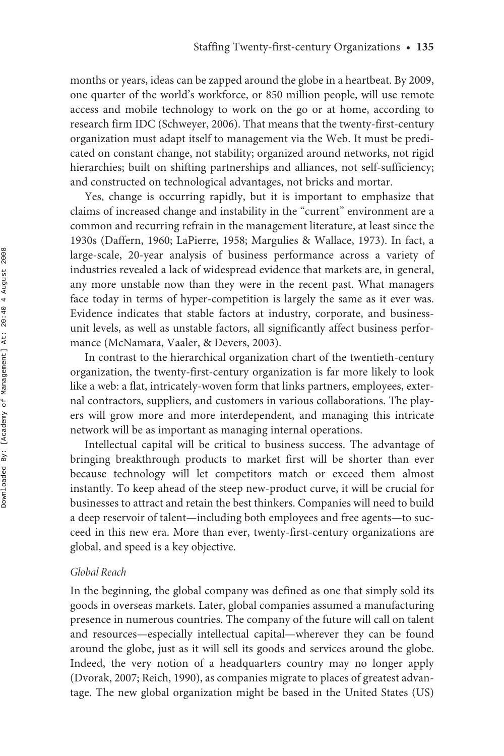months or years, ideas can be zapped around the globe in a heartbeat. By 2009, one quarter of the world's workforce, or 850 million people, will use remote access and mobile technology to work on the go or at home, according to research firm IDC (Schweyer, 2006). That means that the twenty-first-century organization must adapt itself to management via the Web. It must be predicated on constant change, not stability; organized around networks, not rigid hierarchies; built on shifting partnerships and alliances, not self-sufficiency; and constructed on technological advantages, not bricks and mortar.

Yes, change is occurring rapidly, but it is important to emphasize that claims of increased change and instability in the "current" environment are a common and recurring refrain in the management literature, at least since the 1930s (Daffern, 1960; LaPierre, 1958; Margulies & Wallace, 1973). In fact, a large-scale, 20-year analysis of business performance across a variety of industries revealed a lack of widespread evidence that markets are, in general, any more unstable now than they were in the recent past. What managers face today in terms of hyper-competition is largely the same as it ever was. Evidence indicates that stable factors at industry, corporate, and businessunit levels, as well as unstable factors, all significantly affect business performance (McNamara, Vaaler, & Devers, 2003).

In contrast to the hierarchical organization chart of the twentieth-century organization, the twenty-first-century organization is far more likely to look like a web: a flat, intricately-woven form that links partners, employees, external contractors, suppliers, and customers in various collaborations. The players will grow more and more interdependent, and managing this intricate network will be as important as managing internal operations.

Intellectual capital will be critical to business success. The advantage of bringing breakthrough products to market first will be shorter than ever because technology will let competitors match or exceed them almost instantly. To keep ahead of the steep new-product curve, it will be crucial for businesses to attract and retain the best thinkers. Companies will need to build a deep reservoir of talent—including both employees and free agents—to succeed in this new era. More than ever, twenty-first-century organizations are global, and speed is a key objective.

# *Global Reach*

In the beginning, the global company was defined as one that simply sold its goods in overseas markets. Later, global companies assumed a manufacturing presence in numerous countries. The company of the future will call on talent and resources—especially intellectual capital—wherever they can be found around the globe, just as it will sell its goods and services around the globe. Indeed, the very notion of a headquarters country may no longer apply (Dvorak, 2007; Reich, 1990), as companies migrate to places of greatest advantage. The new global organization might be based in the United States (US)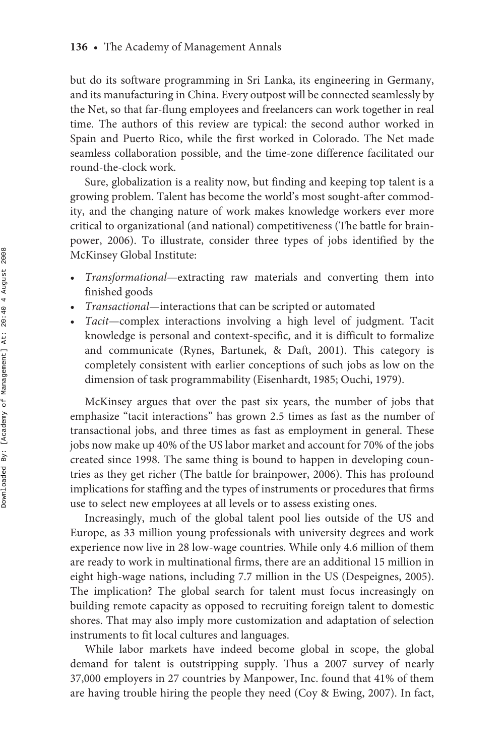but do its software programming in Sri Lanka, its engineering in Germany, and its manufacturing in China. Every outpost will be connected seamlessly by the Net, so that far-flung employees and freelancers can work together in real time. The authors of this review are typical: the second author worked in Spain and Puerto Rico, while the first worked in Colorado. The Net made seamless collaboration possible, and the time-zone difference facilitated our round-the-clock work.

Sure, globalization is a reality now, but finding and keeping top talent is a growing problem. Talent has become the world's most sought-after commodity, and the changing nature of work makes knowledge workers ever more critical to organizational (and national) competitiveness (The battle for brainpower, 2006). To illustrate, consider three types of jobs identified by the McKinsey Global Institute:

- *Transformational*—extracting raw materials and converting them into finished goods
- *Transactional*—interactions that can be scripted or automated
- *Tacit*—complex interactions involving a high level of judgment. Tacit knowledge is personal and context-specific, and it is difficult to formalize and communicate (Rynes, Bartunek, & Daft, 2001). This category is completely consistent with earlier conceptions of such jobs as low on the dimension of task programmability (Eisenhardt, 1985; Ouchi, 1979).

McKinsey argues that over the past six years, the number of jobs that emphasize "tacit interactions" has grown 2.5 times as fast as the number of transactional jobs, and three times as fast as employment in general. These jobs now make up 40% of the US labor market and account for 70% of the jobs created since 1998. The same thing is bound to happen in developing countries as they get richer (The battle for brainpower, 2006). This has profound implications for staffing and the types of instruments or procedures that firms use to select new employees at all levels or to assess existing ones.

Increasingly, much of the global talent pool lies outside of the US and Europe, as 33 million young professionals with university degrees and work experience now live in 28 low-wage countries. While only 4.6 million of them are ready to work in multinational firms, there are an additional 15 million in eight high-wage nations, including 7.7 million in the US (Despeignes, 2005). The implication? The global search for talent must focus increasingly on building remote capacity as opposed to recruiting foreign talent to domestic shores. That may also imply more customization and adaptation of selection instruments to fit local cultures and languages.

While labor markets have indeed become global in scope, the global demand for talent is outstripping supply. Thus a 2007 survey of nearly 37,000 employers in 27 countries by Manpower, Inc. found that 41% of them are having trouble hiring the people they need (Coy & Ewing, 2007). In fact,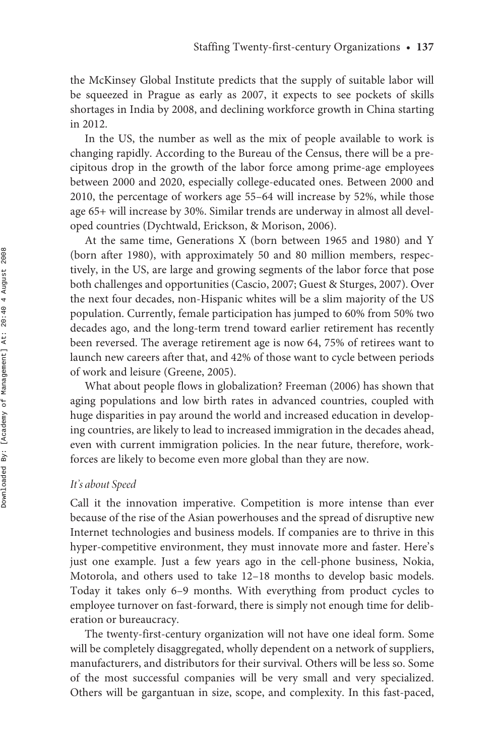the McKinsey Global Institute predicts that the supply of suitable labor will be squeezed in Prague as early as 2007, it expects to see pockets of skills shortages in India by 2008, and declining workforce growth in China starting in 2012.

In the US, the number as well as the mix of people available to work is changing rapidly. According to the Bureau of the Census, there will be a precipitous drop in the growth of the labor force among prime-age employees between 2000 and 2020, especially college-educated ones. Between 2000 and 2010, the percentage of workers age 55–64 will increase by 52%, while those age 65+ will increase by 30%. Similar trends are underway in almost all developed countries (Dychtwald, Erickson, & Morison, 2006).

At the same time, Generations X (born between 1965 and 1980) and Y (born after 1980), with approximately 50 and 80 million members, respectively, in the US, are large and growing segments of the labor force that pose both challenges and opportunities (Cascio, 2007; Guest & Sturges, 2007). Over the next four decades, non-Hispanic whites will be a slim majority of the US population. Currently, female participation has jumped to 60% from 50% two decades ago, and the long-term trend toward earlier retirement has recently been reversed. The average retirement age is now 64, 75% of retirees want to launch new careers after that, and 42% of those want to cycle between periods of work and leisure (Greene, 2005).

What about people flows in globalization? Freeman (2006) has shown that aging populations and low birth rates in advanced countries, coupled with huge disparities in pay around the world and increased education in developing countries, are likely to lead to increased immigration in the decades ahead, even with current immigration policies. In the near future, therefore, workforces are likely to become even more global than they are now.

## *It's about Speed*

Call it the innovation imperative. Competition is more intense than ever because of the rise of the Asian powerhouses and the spread of disruptive new Internet technologies and business models. If companies are to thrive in this hyper-competitive environment, they must innovate more and faster. Here's just one example. Just a few years ago in the cell-phone business, Nokia, Motorola, and others used to take 12–18 months to develop basic models. Today it takes only 6–9 months. With everything from product cycles to employee turnover on fast-forward, there is simply not enough time for deliberation or bureaucracy.

The twenty-first-century organization will not have one ideal form. Some will be completely disaggregated, wholly dependent on a network of suppliers, manufacturers, and distributors for their survival. Others will be less so. Some of the most successful companies will be very small and very specialized. Others will be gargantuan in size, scope, and complexity. In this fast-paced,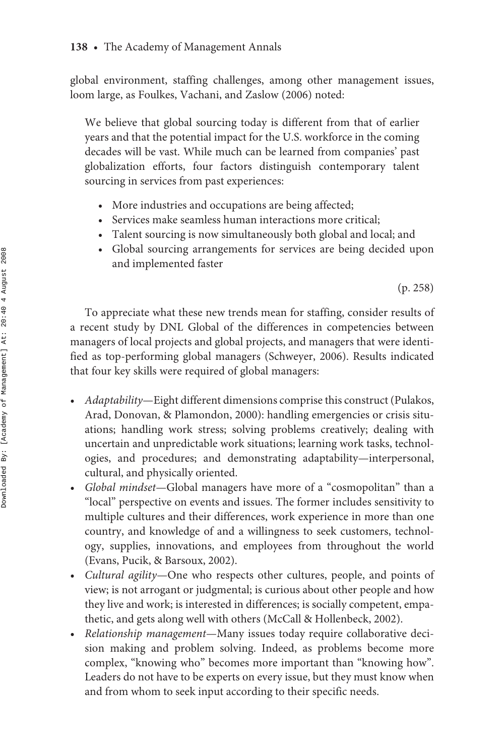global environment, staffing challenges, among other management issues, loom large, as Foulkes, Vachani, and Zaslow (2006) noted:

We believe that global sourcing today is different from that of earlier years and that the potential impact for the U.S. workforce in the coming decades will be vast. While much can be learned from companies' past globalization efforts, four factors distinguish contemporary talent sourcing in services from past experiences:

- More industries and occupations are being affected;
- Services make seamless human interactions more critical;
- Talent sourcing is now simultaneously both global and local; and
- Global sourcing arrangements for services are being decided upon and implemented faster

(p. 258)

To appreciate what these new trends mean for staffing, consider results of a recent study by DNL Global of the differences in competencies between managers of local projects and global projects, and managers that were identified as top-performing global managers (Schweyer, 2006). Results indicated that four key skills were required of global managers:

- *Adaptability*—Eight different dimensions comprise this construct (Pulakos, Arad, Donovan, & Plamondon, 2000): handling emergencies or crisis situations; handling work stress; solving problems creatively; dealing with uncertain and unpredictable work situations; learning work tasks, technologies, and procedures; and demonstrating adaptability—interpersonal, cultural, and physically oriented.
- *Global mindset*—Global managers have more of a "cosmopolitan" than a "local" perspective on events and issues. The former includes sensitivity to multiple cultures and their differences, work experience in more than one country, and knowledge of and a willingness to seek customers, technology, supplies, innovations, and employees from throughout the world (Evans, Pucik, & Barsoux, 2002).
- *Cultural agility*—One who respects other cultures, people, and points of view; is not arrogant or judgmental; is curious about other people and how they live and work; is interested in differences; is socially competent, empathetic, and gets along well with others (McCall & Hollenbeck, 2002).
- *Relationship management*—Many issues today require collaborative decision making and problem solving. Indeed, as problems become more complex, "knowing who" becomes more important than "knowing how". Leaders do not have to be experts on every issue, but they must know when and from whom to seek input according to their specific needs.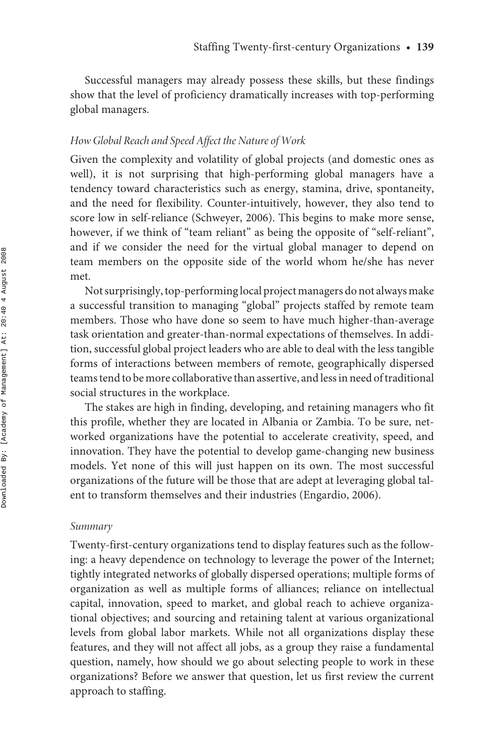Successful managers may already possess these skills, but these findings show that the level of proficiency dramatically increases with top-performing global managers.

## *How Global Reach and Speed Affect the Nature of Work*

Given the complexity and volatility of global projects (and domestic ones as well), it is not surprising that high-performing global managers have a tendency toward characteristics such as energy, stamina, drive, spontaneity, and the need for flexibility. Counter-intuitively, however, they also tend to score low in self-reliance (Schweyer, 2006). This begins to make more sense, however, if we think of "team reliant" as being the opposite of "self-reliant", and if we consider the need for the virtual global manager to depend on team members on the opposite side of the world whom he/she has never met.

Not surprisingly, top-performing local project managers do not always make a successful transition to managing "global" projects staffed by remote team members. Those who have done so seem to have much higher-than-average task orientation and greater-than-normal expectations of themselves. In addition, successful global project leaders who are able to deal with the less tangible forms of interactions between members of remote, geographically dispersed teams tend to be more collaborative than assertive, and less in need of traditional social structures in the workplace.

The stakes are high in finding, developing, and retaining managers who fit this profile, whether they are located in Albania or Zambia. To be sure, networked organizations have the potential to accelerate creativity, speed, and innovation. They have the potential to develop game-changing new business models. Yet none of this will just happen on its own. The most successful organizations of the future will be those that are adept at leveraging global talent to transform themselves and their industries (Engardio, 2006).

## *Summary*

Twenty-first-century organizations tend to display features such as the following: a heavy dependence on technology to leverage the power of the Internet; tightly integrated networks of globally dispersed operations; multiple forms of organization as well as multiple forms of alliances; reliance on intellectual capital, innovation, speed to market, and global reach to achieve organizational objectives; and sourcing and retaining talent at various organizational levels from global labor markets. While not all organizations display these features, and they will not affect all jobs, as a group they raise a fundamental question, namely, how should we go about selecting people to work in these organizations? Before we answer that question, let us first review the current approach to staffing.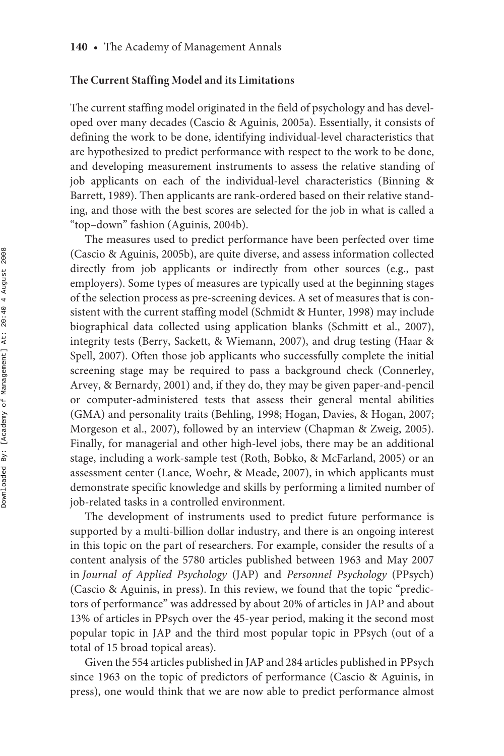#### **The Current Staffing Model and its Limitations**

The current staffing model originated in the field of psychology and has developed over many decades (Cascio & Aguinis, 2005a). Essentially, it consists of defining the work to be done, identifying individual-level characteristics that are hypothesized to predict performance with respect to the work to be done, and developing measurement instruments to assess the relative standing of job applicants on each of the individual-level characteristics (Binning & Barrett, 1989). Then applicants are rank-ordered based on their relative standing, and those with the best scores are selected for the job in what is called a "top–down" fashion (Aguinis, 2004b).

The measures used to predict performance have been perfected over time (Cascio & Aguinis, 2005b), are quite diverse, and assess information collected directly from job applicants or indirectly from other sources (e.g., past employers). Some types of measures are typically used at the beginning stages of the selection process as pre-screening devices. A set of measures that is consistent with the current staffing model (Schmidt & Hunter, 1998) may include biographical data collected using application blanks (Schmitt et al., 2007), integrity tests (Berry, Sackett, & Wiemann, 2007), and drug testing (Haar & Spell, 2007). Often those job applicants who successfully complete the initial screening stage may be required to pass a background check (Connerley, Arvey, & Bernardy, 2001) and, if they do, they may be given paper-and-pencil or computer-administered tests that assess their general mental abilities (GMA) and personality traits (Behling, 1998; Hogan, Davies, & Hogan, 2007; Morgeson et al., 2007), followed by an interview (Chapman & Zweig, 2005). Finally, for managerial and other high-level jobs, there may be an additional stage, including a work-sample test (Roth, Bobko, & McFarland, 2005) or an assessment center (Lance, Woehr, & Meade, 2007), in which applicants must demonstrate specific knowledge and skills by performing a limited number of job-related tasks in a controlled environment.

The development of instruments used to predict future performance is supported by a multi-billion dollar industry, and there is an ongoing interest in this topic on the part of researchers. For example, consider the results of a content analysis of the 5780 articles published between 1963 and May 2007 in *Journal of Applied Psychology* (JAP) and *Personnel Psychology* (PPsych) (Cascio & Aguinis, in press). In this review, we found that the topic "predictors of performance" was addressed by about 20% of articles in JAP and about 13% of articles in PPsych over the 45-year period, making it the second most popular topic in JAP and the third most popular topic in PPsych (out of a total of 15 broad topical areas).

Given the 554 articles published in JAP and 284 articles published in PPsych since 1963 on the topic of predictors of performance (Cascio & Aguinis, in press), one would think that we are now able to predict performance almost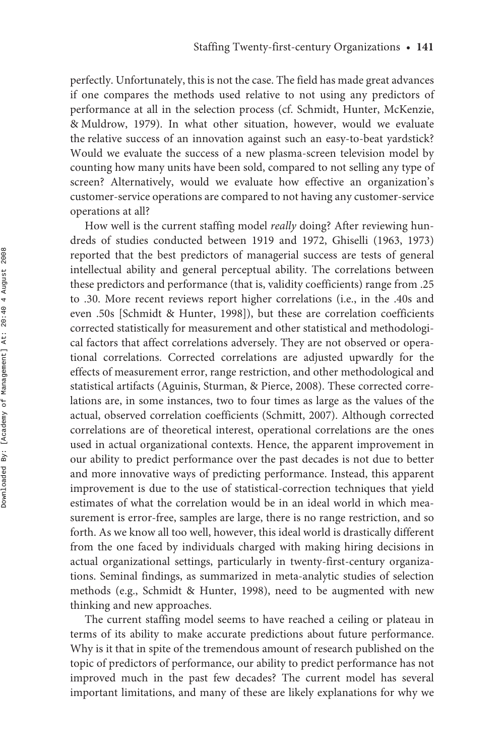perfectly. Unfortunately, this is not the case. The field has made great advances if one compares the methods used relative to not using any predictors of performance at all in the selection process (cf. Schmidt, Hunter, McKenzie, & Muldrow, 1979). In what other situation, however, would we evaluate the relative success of an innovation against such an easy-to-beat yardstick? Would we evaluate the success of a new plasma-screen television model by counting how many units have been sold, compared to not selling any type of screen? Alternatively, would we evaluate how effective an organization's customer-service operations are compared to not having any customer-service operations at all?

How well is the current staffing model *really* doing? After reviewing hundreds of studies conducted between 1919 and 1972, Ghiselli (1963, 1973) reported that the best predictors of managerial success are tests of general intellectual ability and general perceptual ability. The correlations between these predictors and performance (that is, validity coefficients) range from .25 to .30. More recent reviews report higher correlations (i.e., in the .40s and even .50s [Schmidt & Hunter, 1998]), but these are correlation coefficients corrected statistically for measurement and other statistical and methodological factors that affect correlations adversely. They are not observed or operational correlations. Corrected correlations are adjusted upwardly for the effects of measurement error, range restriction, and other methodological and statistical artifacts (Aguinis, Sturman, & Pierce, 2008). These corrected correlations are, in some instances, two to four times as large as the values of the actual, observed correlation coefficients (Schmitt, 2007). Although corrected correlations are of theoretical interest, operational correlations are the ones used in actual organizational contexts. Hence, the apparent improvement in our ability to predict performance over the past decades is not due to better and more innovative ways of predicting performance. Instead, this apparent improvement is due to the use of statistical-correction techniques that yield estimates of what the correlation would be in an ideal world in which measurement is error-free, samples are large, there is no range restriction, and so forth. As we know all too well, however, this ideal world is drastically different from the one faced by individuals charged with making hiring decisions in actual organizational settings, particularly in twenty-first-century organizations. Seminal findings, as summarized in meta-analytic studies of selection methods (e.g., Schmidt & Hunter, 1998), need to be augmented with new thinking and new approaches.

The current staffing model seems to have reached a ceiling or plateau in terms of its ability to make accurate predictions about future performance. Why is it that in spite of the tremendous amount of research published on the topic of predictors of performance, our ability to predict performance has not improved much in the past few decades? The current model has several important limitations, and many of these are likely explanations for why we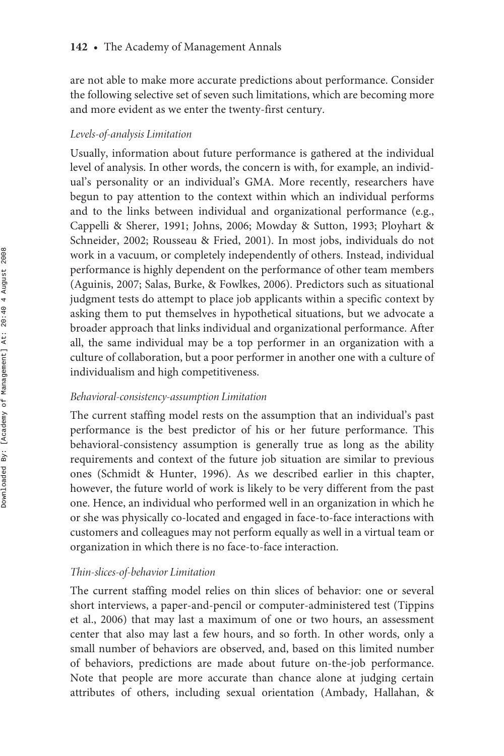are not able to make more accurate predictions about performance. Consider the following selective set of seven such limitations, which are becoming more and more evident as we enter the twenty-first century.

## *Levels-of-analysis Limitation*

Usually, information about future performance is gathered at the individual level of analysis. In other words, the concern is with, for example, an individual's personality or an individual's GMA. More recently, researchers have begun to pay attention to the context within which an individual performs and to the links between individual and organizational performance (e.g., Cappelli & Sherer, 1991; Johns, 2006; Mowday & Sutton, 1993; Ployhart & Schneider, 2002; Rousseau & Fried, 2001). In most jobs, individuals do not work in a vacuum, or completely independently of others. Instead, individual performance is highly dependent on the performance of other team members (Aguinis, 2007; Salas, Burke, & Fowlkes, 2006). Predictors such as situational judgment tests do attempt to place job applicants within a specific context by asking them to put themselves in hypothetical situations, but we advocate a broader approach that links individual and organizational performance. After all, the same individual may be a top performer in an organization with a culture of collaboration, but a poor performer in another one with a culture of individualism and high competitiveness.

#### *Behavioral-consistency-assumption Limitation*

The current staffing model rests on the assumption that an individual's past performance is the best predictor of his or her future performance. This behavioral-consistency assumption is generally true as long as the ability requirements and context of the future job situation are similar to previous ones (Schmidt & Hunter, 1996). As we described earlier in this chapter, however, the future world of work is likely to be very different from the past one. Hence, an individual who performed well in an organization in which he or she was physically co-located and engaged in face-to-face interactions with customers and colleagues may not perform equally as well in a virtual team or organization in which there is no face-to-face interaction.

## *Thin-slices-of-behavior Limitation*

The current staffing model relies on thin slices of behavior: one or several short interviews, a paper-and-pencil or computer-administered test (Tippins et al., 2006) that may last a maximum of one or two hours, an assessment center that also may last a few hours, and so forth. In other words, only a small number of behaviors are observed, and, based on this limited number of behaviors, predictions are made about future on-the-job performance. Note that people are more accurate than chance alone at judging certain attributes of others, including sexual orientation (Ambady, Hallahan, &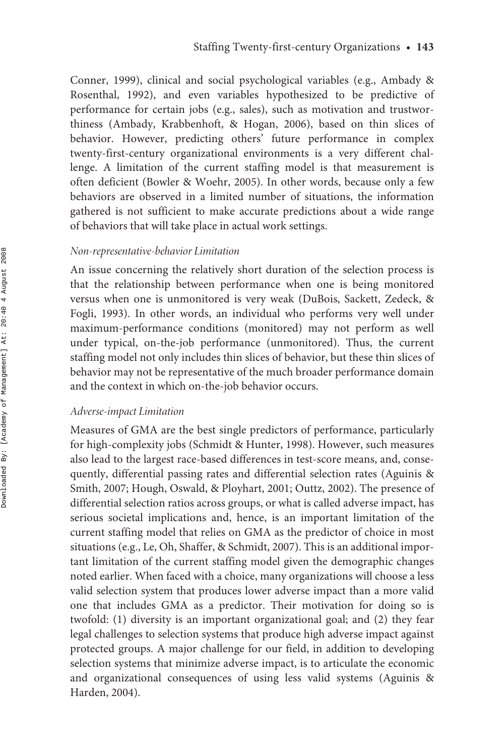Conner, 1999), clinical and social psychological variables (e.g., Ambady & Rosenthal, 1992), and even variables hypothesized to be predictive of performance for certain jobs (e.g., sales), such as motivation and trustworthiness (Ambady, Krabbenhoft, & Hogan, 2006), based on thin slices of behavior. However, predicting others' future performance in complex twenty-first-century organizational environments is a very different challenge. A limitation of the current staffing model is that measurement is often deficient (Bowler & Woehr, 2005). In other words, because only a few behaviors are observed in a limited number of situations, the information gathered is not sufficient to make accurate predictions about a wide range of behaviors that will take place in actual work settings.

#### *Non-representative-behavior Limitation*

An issue concerning the relatively short duration of the selection process is that the relationship between performance when one is being monitored versus when one is unmonitored is very weak (DuBois, Sackett, Zedeck, & Fogli, 1993). In other words, an individual who performs very well under maximum-performance conditions (monitored) may not perform as well under typical, on-the-job performance (unmonitored). Thus, the current staffing model not only includes thin slices of behavior, but these thin slices of behavior may not be representative of the much broader performance domain and the context in which on-the-job behavior occurs.

#### *Adverse-impact Limitation*

Measures of GMA are the best single predictors of performance, particularly for high-complexity jobs (Schmidt & Hunter, 1998). However, such measures also lead to the largest race-based differences in test-score means, and, consequently, differential passing rates and differential selection rates (Aguinis & Smith, 2007; Hough, Oswald, & Ployhart, 2001; Outtz, 2002). The presence of differential selection ratios across groups, or what is called adverse impact, has serious societal implications and, hence, is an important limitation of the current staffing model that relies on GMA as the predictor of choice in most situations (e.g., Le, Oh, Shaffer, & Schmidt, 2007). This is an additional important limitation of the current staffing model given the demographic changes noted earlier. When faced with a choice, many organizations will choose a less valid selection system that produces lower adverse impact than a more valid one that includes GMA as a predictor. Their motivation for doing so is twofold: (1) diversity is an important organizational goal; and (2) they fear legal challenges to selection systems that produce high adverse impact against protected groups. A major challenge for our field, in addition to developing selection systems that minimize adverse impact, is to articulate the economic and organizational consequences of using less valid systems (Aguinis & Harden, 2004).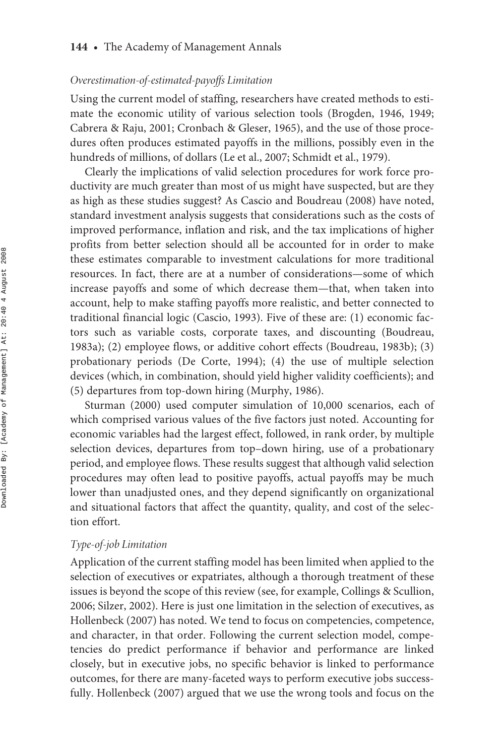#### 144 • The Academy of Management Annals

#### *Overestimation-of-estimated-payoffs Limitation*

Using the current model of staffing, researchers have created methods to estimate the economic utility of various selection tools (Brogden, 1946, 1949; Cabrera & Raju, 2001; Cronbach & Gleser, 1965), and the use of those procedures often produces estimated payoffs in the millions, possibly even in the hundreds of millions, of dollars (Le et al., 2007; Schmidt et al., 1979).

Clearly the implications of valid selection procedures for work force productivity are much greater than most of us might have suspected, but are they as high as these studies suggest? As Cascio and Boudreau (2008) have noted, standard investment analysis suggests that considerations such as the costs of improved performance, inflation and risk, and the tax implications of higher profits from better selection should all be accounted for in order to make these estimates comparable to investment calculations for more traditional resources. In fact, there are at a number of considerations—some of which increase payoffs and some of which decrease them—that, when taken into account, help to make staffing payoffs more realistic, and better connected to traditional financial logic (Cascio, 1993). Five of these are: (1) economic factors such as variable costs, corporate taxes, and discounting (Boudreau, 1983a); (2) employee flows, or additive cohort effects (Boudreau, 1983b); (3) probationary periods (De Corte, 1994); (4) the use of multiple selection devices (which, in combination, should yield higher validity coefficients); and (5) departures from top-down hiring (Murphy, 1986).

Sturman (2000) used computer simulation of 10,000 scenarios, each of which comprised various values of the five factors just noted. Accounting for economic variables had the largest effect, followed, in rank order, by multiple selection devices, departures from top–down hiring, use of a probationary period, and employee flows. These results suggest that although valid selection procedures may often lead to positive payoffs, actual payoffs may be much lower than unadjusted ones, and they depend significantly on organizational and situational factors that affect the quantity, quality, and cost of the selection effort.

#### *Type-of-job Limitation*

Application of the current staffing model has been limited when applied to the selection of executives or expatriates, although a thorough treatment of these issues is beyond the scope of this review (see, for example, Collings & Scullion, 2006; Silzer, 2002). Here is just one limitation in the selection of executives, as Hollenbeck (2007) has noted. We tend to focus on competencies, competence, and character, in that order. Following the current selection model, competencies do predict performance if behavior and performance are linked closely, but in executive jobs, no specific behavior is linked to performance outcomes, for there are many-faceted ways to perform executive jobs successfully. Hollenbeck (2007) argued that we use the wrong tools and focus on the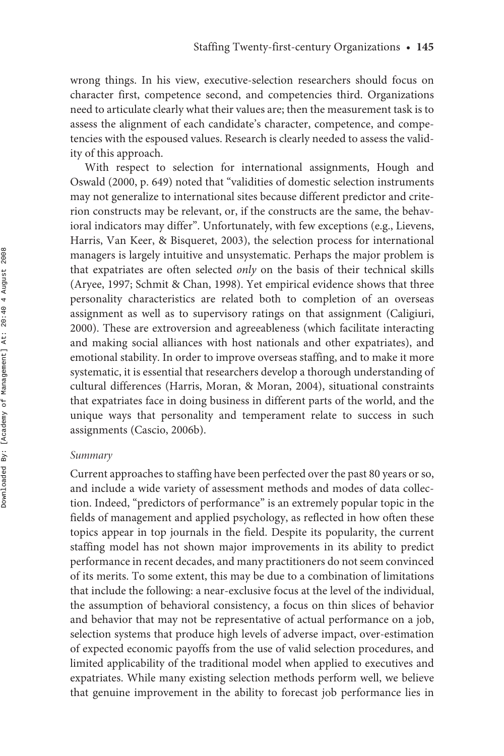wrong things. In his view, executive-selection researchers should focus on character first, competence second, and competencies third. Organizations need to articulate clearly what their values are; then the measurement task is to assess the alignment of each candidate's character, competence, and competencies with the espoused values. Research is clearly needed to assess the validity of this approach.

With respect to selection for international assignments, Hough and Oswald (2000, p. 649) noted that "validities of domestic selection instruments may not generalize to international sites because different predictor and criterion constructs may be relevant, or, if the constructs are the same, the behavioral indicators may differ". Unfortunately, with few exceptions (e.g., Lievens, Harris, Van Keer, & Bisqueret, 2003), the selection process for international managers is largely intuitive and unsystematic. Perhaps the major problem is that expatriates are often selected *only* on the basis of their technical skills (Aryee, 1997; Schmit & Chan, 1998). Yet empirical evidence shows that three personality characteristics are related both to completion of an overseas assignment as well as to supervisory ratings on that assignment (Caligiuri, 2000). These are extroversion and agreeableness (which facilitate interacting and making social alliances with host nationals and other expatriates), and emotional stability. In order to improve overseas staffing, and to make it more systematic, it is essential that researchers develop a thorough understanding of cultural differences (Harris, Moran, & Moran, 2004), situational constraints that expatriates face in doing business in different parts of the world, and the unique ways that personality and temperament relate to success in such assignments (Cascio, 2006b).

## *Summary*

Current approaches to staffing have been perfected over the past 80 years or so, and include a wide variety of assessment methods and modes of data collection. Indeed, "predictors of performance" is an extremely popular topic in the fields of management and applied psychology, as reflected in how often these topics appear in top journals in the field. Despite its popularity, the current staffing model has not shown major improvements in its ability to predict performance in recent decades, and many practitioners do not seem convinced of its merits. To some extent, this may be due to a combination of limitations that include the following: a near-exclusive focus at the level of the individual, the assumption of behavioral consistency, a focus on thin slices of behavior and behavior that may not be representative of actual performance on a job, selection systems that produce high levels of adverse impact, over-estimation of expected economic payoffs from the use of valid selection procedures, and limited applicability of the traditional model when applied to executives and expatriates. While many existing selection methods perform well, we believe that genuine improvement in the ability to forecast job performance lies in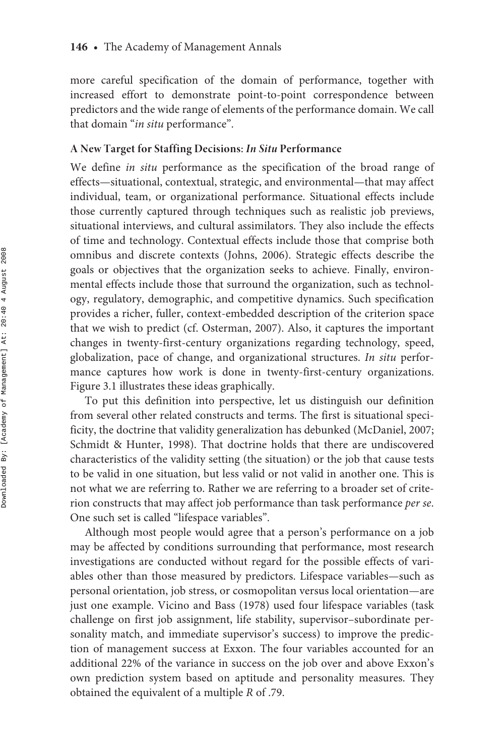more careful specification of the domain of performance, together with increased effort to demonstrate point-to-point correspondence between predictors and the wide range of elements of the performance domain. We call that domain "*in situ* performance".

#### **A New Target for Staffing Decisions:** *In Situ* **Performance**

We define *in situ* performance as the specification of the broad range of effects—situational, contextual, strategic, and environmental—that may affect individual, team, or organizational performance. Situational effects include those currently captured through techniques such as realistic job previews, situational interviews, and cultural assimilators. They also include the effects of time and technology. Contextual effects include those that comprise both omnibus and discrete contexts (Johns, 2006). Strategic effects describe the goals or objectives that the organization seeks to achieve. Finally, environmental effects include those that surround the organization, such as technology, regulatory, demographic, and competitive dynamics. Such specification provides a richer, fuller, context-embedded description of the criterion space that we wish to predict (cf. Osterman, 2007). Also, it captures the important changes in twenty-first-century organizations regarding technology, speed, globalization, pace of change, and organizational structures. *In situ* performance captures how work is done in twenty-first-century organizations. Figure 3.1 illustrates these ideas graphically.

To put this definition into perspective, let us distinguish our definition from several other related constructs and terms. The first is situational specificity, the doctrine that validity generalization has debunked (McDaniel, 2007; Schmidt & Hunter, 1998). That doctrine holds that there are undiscovered characteristics of the validity setting (the situation) or the job that cause tests to be valid in one situation, but less valid or not valid in another one. This is not what we are referring to. Rather we are referring to a broader set of criterion constructs that may affect job performance than task performance *per se*. One such set is called "lifespace variables".

Although most people would agree that a person's performance on a job may be affected by conditions surrounding that performance, most research investigations are conducted without regard for the possible effects of variables other than those measured by predictors. Lifespace variables—such as personal orientation, job stress, or cosmopolitan versus local orientation—are just one example. Vicino and Bass (1978) used four lifespace variables (task challenge on first job assignment, life stability, supervisor–subordinate personality match, and immediate supervisor's success) to improve the prediction of management success at Exxon. The four variables accounted for an additional 22% of the variance in success on the job over and above Exxon's own prediction system based on aptitude and personality measures. They obtained the equivalent of a multiple *R* of .79.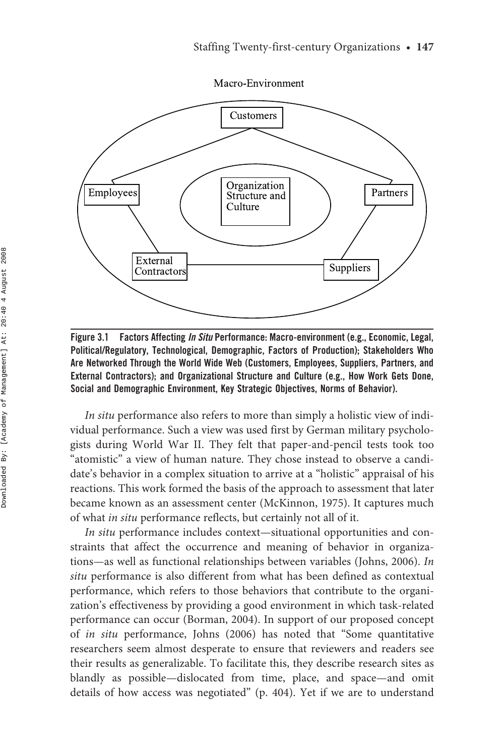



Figure 3.1 Factors Affecting In Situ Performance: Macro-environment (e.g., Economic, Legal, Political/Regulatory, Technological, Demographic, Factors of Production); Stakeholders Who Are Networked Through the World Wide Web (Customers, Employees, Suppliers, Partners, and External Contractors); and Organizational Structure and Culture (e.g., How Work Gets Done, Social and Demographic Environment, Key Strategic Objectives, Norms of Behavior).

*In situ* performance also refers to more than simply a holistic view of individual performance. Such a view was used first by German military psychologists during World War II. They felt that paper-and-pencil tests took too "atomistic" a view of human nature. They chose instead to observe a candidate's behavior in a complex situation to arrive at a "holistic" appraisal of his reactions. This work formed the basis of the approach to assessment that later became known as an assessment center (McKinnon, 1975). It captures much of what *in situ* performance reflects, but certainly not all of it.

*In situ* performance includes context—situational opportunities and constraints that affect the occurrence and meaning of behavior in organizations—as well as functional relationships between variables (Johns, 2006). *In situ* performance is also different from what has been defined as contextual performance, which refers to those behaviors that contribute to the organization's effectiveness by providing a good environment in which task-related performance can occur (Borman, 2004). In support of our proposed concept of *in situ* performance, Johns (2006) has noted that "Some quantitative researchers seem almost desperate to ensure that reviewers and readers see their results as generalizable. To facilitate this, they describe research sites as blandly as possible—dislocated from time, place, and space—and omit details of how access was negotiated" (p. 404). Yet if we are to understand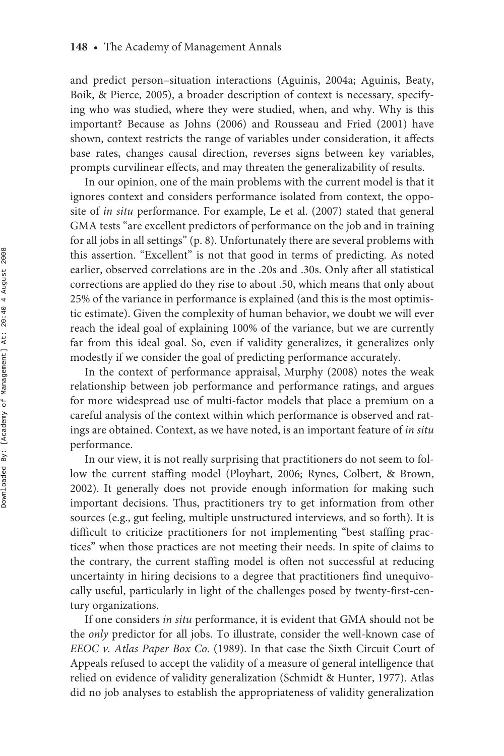and predict person–situation interactions (Aguinis, 2004a; Aguinis, Beaty, Boik, & Pierce, 2005), a broader description of context is necessary, specifying who was studied, where they were studied, when, and why. Why is this important? Because as Johns (2006) and Rousseau and Fried (2001) have shown, context restricts the range of variables under consideration, it affects base rates, changes causal direction, reverses signs between key variables, prompts curvilinear effects, and may threaten the generalizability of results.

In our opinion, one of the main problems with the current model is that it ignores context and considers performance isolated from context, the opposite of *in situ* performance. For example, Le et al. (2007) stated that general GMA tests "are excellent predictors of performance on the job and in training for all jobs in all settings" (p. 8). Unfortunately there are several problems with this assertion. "Excellent" is not that good in terms of predicting. As noted earlier, observed correlations are in the .20s and .30s. Only after all statistical corrections are applied do they rise to about .50, which means that only about 25% of the variance in performance is explained (and this is the most optimistic estimate). Given the complexity of human behavior, we doubt we will ever reach the ideal goal of explaining 100% of the variance, but we are currently far from this ideal goal. So, even if validity generalizes, it generalizes only modestly if we consider the goal of predicting performance accurately.

In the context of performance appraisal, Murphy (2008) notes the weak relationship between job performance and performance ratings, and argues for more widespread use of multi-factor models that place a premium on a careful analysis of the context within which performance is observed and ratings are obtained. Context, as we have noted, is an important feature of *in situ* performance.

In our view, it is not really surprising that practitioners do not seem to follow the current staffing model (Ployhart, 2006; Rynes, Colbert, & Brown, 2002). It generally does not provide enough information for making such important decisions. Thus, practitioners try to get information from other sources (e.g., gut feeling, multiple unstructured interviews, and so forth). It is difficult to criticize practitioners for not implementing "best staffing practices" when those practices are not meeting their needs. In spite of claims to the contrary, the current staffing model is often not successful at reducing uncertainty in hiring decisions to a degree that practitioners find unequivocally useful, particularly in light of the challenges posed by twenty-first-century organizations.

If one considers *in situ* performance, it is evident that GMA should not be the *only* predictor for all jobs. To illustrate, consider the well-known case of *EEOC v. Atlas Paper Box Co*. (1989). In that case the Sixth Circuit Court of Appeals refused to accept the validity of a measure of general intelligence that relied on evidence of validity generalization (Schmidt & Hunter, 1977). Atlas did no job analyses to establish the appropriateness of validity generalization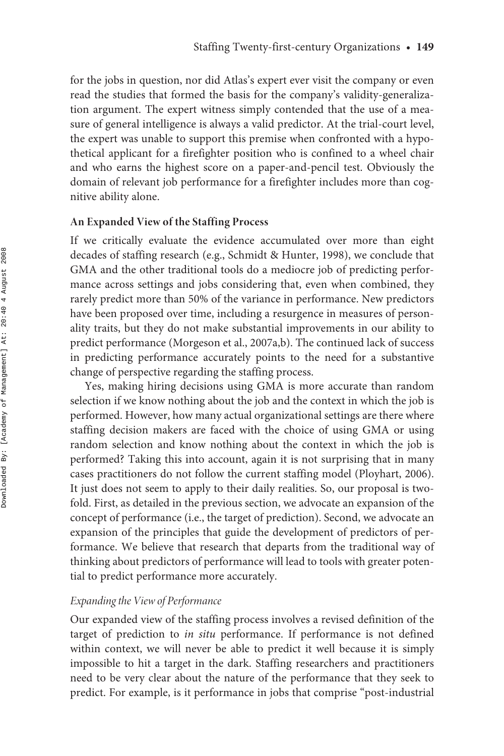for the jobs in question, nor did Atlas's expert ever visit the company or even read the studies that formed the basis for the company's validity-generalization argument. The expert witness simply contended that the use of a measure of general intelligence is always a valid predictor. At the trial-court level, the expert was unable to support this premise when confronted with a hypothetical applicant for a firefighter position who is confined to a wheel chair and who earns the highest score on a paper-and-pencil test. Obviously the domain of relevant job performance for a firefighter includes more than cognitive ability alone.

#### **An Expanded View of the Staffing Process**

If we critically evaluate the evidence accumulated over more than eight decades of staffing research (e.g., Schmidt & Hunter, 1998), we conclude that GMA and the other traditional tools do a mediocre job of predicting performance across settings and jobs considering that, even when combined, they rarely predict more than 50% of the variance in performance. New predictors have been proposed over time, including a resurgence in measures of personality traits, but they do not make substantial improvements in our ability to predict performance (Morgeson et al., 2007a,b). The continued lack of success in predicting performance accurately points to the need for a substantive change of perspective regarding the staffing process.

Yes, making hiring decisions using GMA is more accurate than random selection if we know nothing about the job and the context in which the job is performed. However, how many actual organizational settings are there where staffing decision makers are faced with the choice of using GMA or using random selection and know nothing about the context in which the job is performed? Taking this into account, again it is not surprising that in many cases practitioners do not follow the current staffing model (Ployhart, 2006). It just does not seem to apply to their daily realities. So, our proposal is twofold. First, as detailed in the previous section, we advocate an expansion of the concept of performance (i.e., the target of prediction). Second, we advocate an expansion of the principles that guide the development of predictors of performance. We believe that research that departs from the traditional way of thinking about predictors of performance will lead to tools with greater potential to predict performance more accurately.

# *Expanding the View of Performance*

Our expanded view of the staffing process involves a revised definition of the target of prediction to *in situ* performance. If performance is not defined within context, we will never be able to predict it well because it is simply impossible to hit a target in the dark. Staffing researchers and practitioners need to be very clear about the nature of the performance that they seek to predict. For example, is it performance in jobs that comprise "post-industrial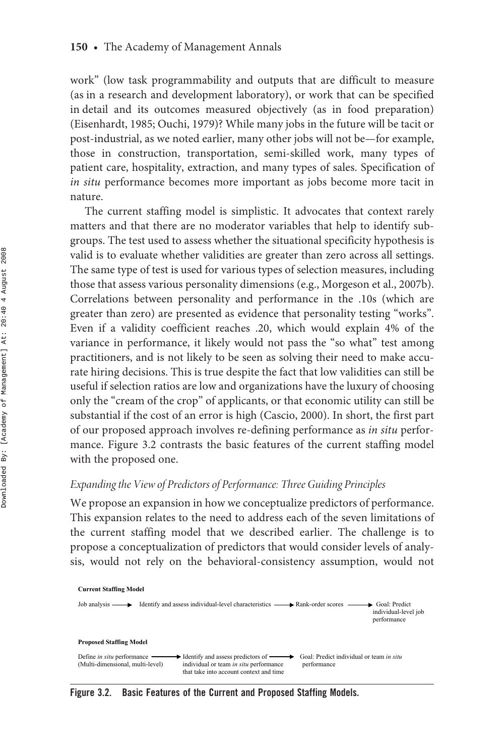work" (low task programmability and outputs that are difficult to measure (as in a research and development laboratory), or work that can be specified in detail and its outcomes measured objectively (as in food preparation) (Eisenhardt, 1985; Ouchi, 1979)? While many jobs in the future will be tacit or post-industrial, as we noted earlier, many other jobs will not be—for example, those in construction, transportation, semi-skilled work, many types of patient care, hospitality, extraction, and many types of sales. Specification of *in situ* performance becomes more important as jobs become more tacit in nature.

The current staffing model is simplistic. It advocates that context rarely matters and that there are no moderator variables that help to identify subgroups. The test used to assess whether the situational specificity hypothesis is valid is to evaluate whether validities are greater than zero across all settings. The same type of test is used for various types of selection measures, including those that assess various personality dimensions (e.g., Morgeson et al., 2007b). Correlations between personality and performance in the .10s (which are greater than zero) are presented as evidence that personality testing "works". Even if a validity coefficient reaches .20, which would explain 4% of the variance in performance, it likely would not pass the "so what" test among practitioners, and is not likely to be seen as solving their need to make accurate hiring decisions. This is true despite the fact that low validities can still be useful if selection ratios are low and organizations have the luxury of choosing only the "cream of the crop" of applicants, or that economic utility can still be substantial if the cost of an error is high (Cascio, 2000). In short, the first part of our proposed approach involves re-defining performance as *in situ* performance. Figure 3.2 contrasts the basic features of the current staffing model with the proposed one.

## *Expanding the View of Predictors of Performance: Three Guiding Principles*

We propose an expansion in how we conceptualize predictors of performance. This expansion relates to the need to address each of the seven limitations of the current staffing model that we described earlier. The challenge is to propose a conceptualization of predictors that would consider levels of analysis, would not rely on the behavioral-consistency assumption, would not



Figure 3.2. Basic Features of the Current and Proposed Staffing Models.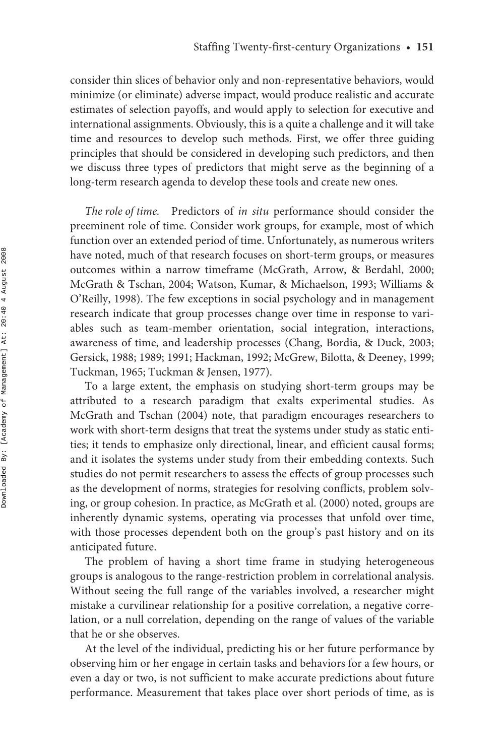consider thin slices of behavior only and non-representative behaviors, would minimize (or eliminate) adverse impact, would produce realistic and accurate estimates of selection payoffs, and would apply to selection for executive and international assignments. Obviously, this is a quite a challenge and it will take time and resources to develop such methods. First, we offer three guiding principles that should be considered in developing such predictors, and then we discuss three types of predictors that might serve as the beginning of a long-term research agenda to develop these tools and create new ones.

*The role of time.* Predictors of *in situ* performance should consider the preeminent role of time. Consider work groups, for example, most of which function over an extended period of time. Unfortunately, as numerous writers have noted, much of that research focuses on short-term groups, or measures outcomes within a narrow timeframe (McGrath, Arrow, & Berdahl, 2000; McGrath & Tschan, 2004; Watson, Kumar, & Michaelson, 1993; Williams & O'Reilly, 1998). The few exceptions in social psychology and in management research indicate that group processes change over time in response to variables such as team-member orientation, social integration, interactions, awareness of time, and leadership processes (Chang, Bordia, & Duck, 2003; Gersick, 1988; 1989; 1991; Hackman, 1992; McGrew, Bilotta, & Deeney, 1999; Tuckman, 1965; Tuckman & Jensen, 1977).

To a large extent, the emphasis on studying short-term groups may be attributed to a research paradigm that exalts experimental studies. As McGrath and Tschan (2004) note, that paradigm encourages researchers to work with short-term designs that treat the systems under study as static entities; it tends to emphasize only directional, linear, and efficient causal forms; and it isolates the systems under study from their embedding contexts. Such studies do not permit researchers to assess the effects of group processes such as the development of norms, strategies for resolving conflicts, problem solving, or group cohesion. In practice, as McGrath et al. (2000) noted, groups are inherently dynamic systems, operating via processes that unfold over time, with those processes dependent both on the group's past history and on its anticipated future.

The problem of having a short time frame in studying heterogeneous groups is analogous to the range-restriction problem in correlational analysis. Without seeing the full range of the variables involved, a researcher might mistake a curvilinear relationship for a positive correlation, a negative correlation, or a null correlation, depending on the range of values of the variable that he or she observes.

At the level of the individual, predicting his or her future performance by observing him or her engage in certain tasks and behaviors for a few hours, or even a day or two, is not sufficient to make accurate predictions about future performance. Measurement that takes place over short periods of time, as is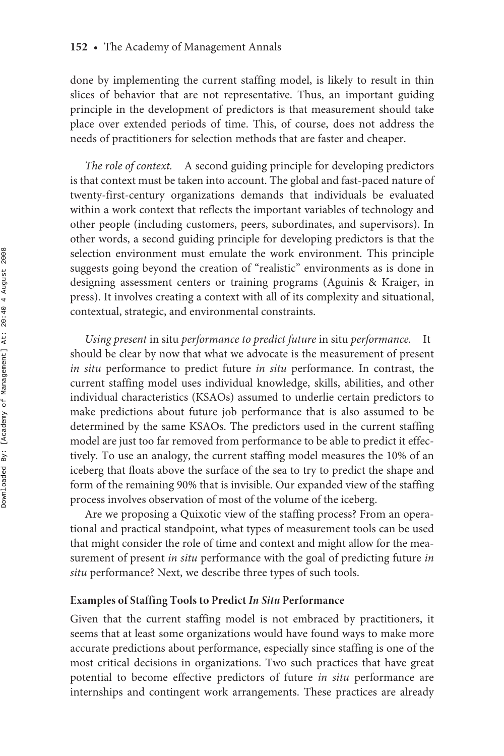done by implementing the current staffing model, is likely to result in thin slices of behavior that are not representative. Thus, an important guiding principle in the development of predictors is that measurement should take place over extended periods of time. This, of course, does not address the needs of practitioners for selection methods that are faster and cheaper.

*The role of context.* A second guiding principle for developing predictors is that context must be taken into account. The global and fast-paced nature of twenty-first-century organizations demands that individuals be evaluated within a work context that reflects the important variables of technology and other people (including customers, peers, subordinates, and supervisors). In other words, a second guiding principle for developing predictors is that the selection environment must emulate the work environment. This principle suggests going beyond the creation of "realistic" environments as is done in designing assessment centers or training programs (Aguinis & Kraiger, in press). It involves creating a context with all of its complexity and situational, contextual, strategic, and environmental constraints.

*Using present* in situ *performance to predict future* in situ *performance.* It should be clear by now that what we advocate is the measurement of present *in situ* performance to predict future *in situ* performance. In contrast, the current staffing model uses individual knowledge, skills, abilities, and other individual characteristics (KSAOs) assumed to underlie certain predictors to make predictions about future job performance that is also assumed to be determined by the same KSAOs. The predictors used in the current staffing model are just too far removed from performance to be able to predict it effectively. To use an analogy, the current staffing model measures the 10% of an iceberg that floats above the surface of the sea to try to predict the shape and form of the remaining 90% that is invisible. Our expanded view of the staffing process involves observation of most of the volume of the iceberg.

Are we proposing a Quixotic view of the staffing process? From an operational and practical standpoint, what types of measurement tools can be used that might consider the role of time and context and might allow for the measurement of present *in situ* performance with the goal of predicting future *in situ* performance? Next, we describe three types of such tools.

#### **Examples of Staffing Tools to Predict** *In Situ* **Performance**

Given that the current staffing model is not embraced by practitioners, it seems that at least some organizations would have found ways to make more accurate predictions about performance, especially since staffing is one of the most critical decisions in organizations. Two such practices that have great potential to become effective predictors of future *in situ* performance are internships and contingent work arrangements. These practices are already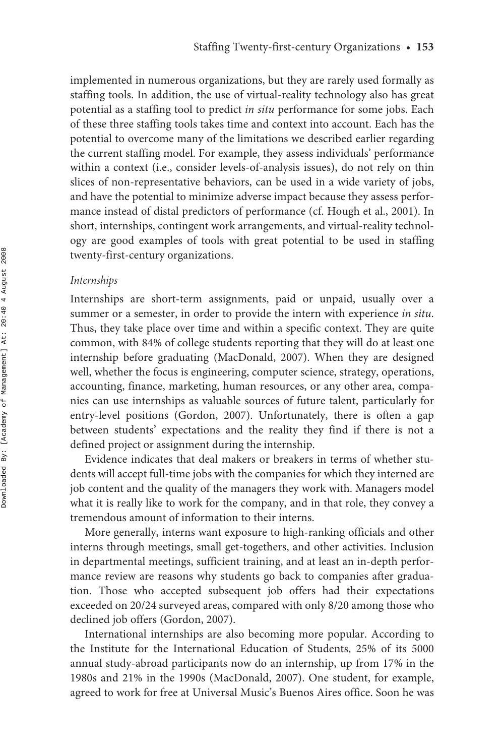implemented in numerous organizations, but they are rarely used formally as staffing tools. In addition, the use of virtual-reality technology also has great potential as a staffing tool to predict *in situ* performance for some jobs. Each of these three staffing tools takes time and context into account. Each has the potential to overcome many of the limitations we described earlier regarding the current staffing model. For example, they assess individuals' performance within a context (i.e., consider levels-of-analysis issues), do not rely on thin slices of non-representative behaviors, can be used in a wide variety of jobs, and have the potential to minimize adverse impact because they assess performance instead of distal predictors of performance (cf. Hough et al., 2001). In short, internships, contingent work arrangements, and virtual-reality technology are good examples of tools with great potential to be used in staffing twenty-first-century organizations.

#### *Internships*

Internships are short-term assignments, paid or unpaid, usually over a summer or a semester, in order to provide the intern with experience *in situ*. Thus, they take place over time and within a specific context. They are quite common, with 84% of college students reporting that they will do at least one internship before graduating (MacDonald, 2007). When they are designed well, whether the focus is engineering, computer science, strategy, operations, accounting, finance, marketing, human resources, or any other area, companies can use internships as valuable sources of future talent, particularly for entry-level positions (Gordon, 2007). Unfortunately, there is often a gap between students' expectations and the reality they find if there is not a defined project or assignment during the internship.

Evidence indicates that deal makers or breakers in terms of whether students will accept full-time jobs with the companies for which they interned are job content and the quality of the managers they work with. Managers model what it is really like to work for the company, and in that role, they convey a tremendous amount of information to their interns.

More generally, interns want exposure to high-ranking officials and other interns through meetings, small get-togethers, and other activities. Inclusion in departmental meetings, sufficient training, and at least an in-depth performance review are reasons why students go back to companies after graduation. Those who accepted subsequent job offers had their expectations exceeded on 20/24 surveyed areas, compared with only 8/20 among those who declined job offers (Gordon, 2007).

International internships are also becoming more popular. According to the Institute for the International Education of Students, 25% of its 5000 annual study-abroad participants now do an internship, up from 17% in the 1980s and 21% in the 1990s (MacDonald, 2007). One student, for example, agreed to work for free at Universal Music's Buenos Aires office. Soon he was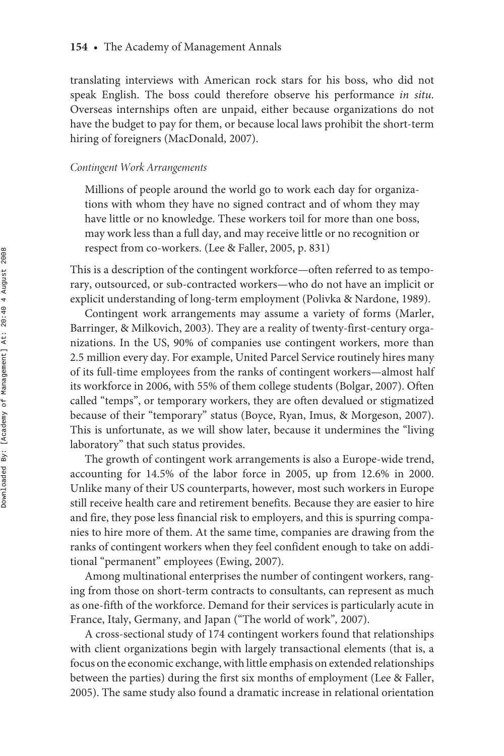translating interviews with American rock stars for his boss, who did not speak English. The boss could therefore observe his performance *in situ*. Overseas internships often are unpaid, either because organizations do not have the budget to pay for them, or because local laws prohibit the short-term hiring of foreigners (MacDonald, 2007).

#### *Contingent Work Arrangements*

Millions of people around the world go to work each day for organizations with whom they have no signed contract and of whom they may have little or no knowledge. These workers toil for more than one boss, may work less than a full day, and may receive little or no recognition or respect from co-workers. (Lee & Faller, 2005, p. 831)

This is a description of the contingent workforce—often referred to as temporary, outsourced, or sub-contracted workers—who do not have an implicit or explicit understanding of long-term employment (Polivka & Nardone, 1989).

Contingent work arrangements may assume a variety of forms (Marler, Barringer, & Milkovich, 2003). They are a reality of twenty-first-century organizations. In the US, 90% of companies use contingent workers, more than 2.5 million every day. For example, United Parcel Service routinely hires many of its full-time employees from the ranks of contingent workers—almost half its workforce in 2006, with 55% of them college students (Bolgar, 2007). Often called "temps", or temporary workers, they are often devalued or stigmatized because of their "temporary" status (Boyce, Ryan, Imus, & Morgeson, 2007). This is unfortunate, as we will show later, because it undermines the "living laboratory" that such status provides.

The growth of contingent work arrangements is also a Europe-wide trend, accounting for 14.5% of the labor force in 2005, up from 12.6% in 2000. Unlike many of their US counterparts, however, most such workers in Europe still receive health care and retirement benefits. Because they are easier to hire and fire, they pose less financial risk to employers, and this is spurring companies to hire more of them. At the same time, companies are drawing from the ranks of contingent workers when they feel confident enough to take on additional "permanent" employees (Ewing, 2007).

Among multinational enterprises the number of contingent workers, ranging from those on short-term contracts to consultants, can represent as much as one-fifth of the workforce. Demand for their services is particularly acute in France, Italy, Germany, and Japan ("The world of work"*,* 2007).

A cross-sectional study of 174 contingent workers found that relationships with client organizations begin with largely transactional elements (that is, a focus on the economic exchange, with little emphasis on extended relationships between the parties) during the first six months of employment (Lee & Faller, 2005). The same study also found a dramatic increase in relational orientation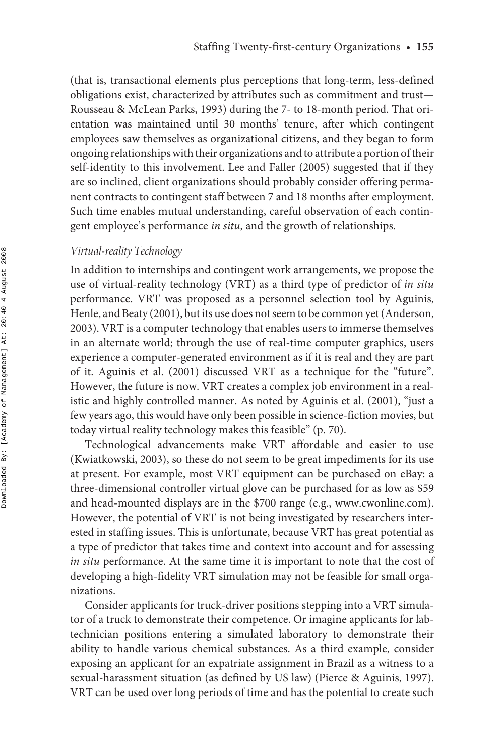(that is, transactional elements plus perceptions that long-term, less-defined obligations exist, characterized by attributes such as commitment and trust— Rousseau & McLean Parks, 1993) during the 7- to 18-month period. That orientation was maintained until 30 months' tenure, after which contingent employees saw themselves as organizational citizens, and they began to form ongoing relationships with their organizations and to attribute a portion of their self-identity to this involvement. Lee and Faller (2005) suggested that if they are so inclined, client organizations should probably consider offering permanent contracts to contingent staff between 7 and 18 months after employment. Such time enables mutual understanding, careful observation of each contingent employee's performance *in situ*, and the growth of relationships.

## *Virtual-reality Technology*

In addition to internships and contingent work arrangements, we propose the use of virtual-reality technology (VRT) as a third type of predictor of *in situ* performance. VRT was proposed as a personnel selection tool by Aguinis, Henle, and Beaty (2001), but its use does not seem to be common yet (Anderson, 2003). VRT is a computer technology that enables users to immerse themselves in an alternate world; through the use of real-time computer graphics, users experience a computer-generated environment as if it is real and they are part of it. Aguinis et al. (2001) discussed VRT as a technique for the "future". However, the future is now. VRT creates a complex job environment in a realistic and highly controlled manner. As noted by Aguinis et al. (2001), "just a few years ago, this would have only been possible in science-fiction movies, but today virtual reality technology makes this feasible" (p. 70).

Technological advancements make VRT affordable and easier to use (Kwiatkowski, 2003), so these do not seem to be great impediments for its use at present. For example, most VRT equipment can be purchased on eBay: a three-dimensional controller virtual glove can be purchased for as low as \$59 and head-mounted displays are in the \$700 range (e.g., www.cwonline.com). However, the potential of VRT is not being investigated by researchers interested in staffing issues. This is unfortunate, because VRT has great potential as a type of predictor that takes time and context into account and for assessing *in situ* performance. At the same time it is important to note that the cost of developing a high-fidelity VRT simulation may not be feasible for small organizations.

Consider applicants for truck-driver positions stepping into a VRT simulator of a truck to demonstrate their competence. Or imagine applicants for labtechnician positions entering a simulated laboratory to demonstrate their ability to handle various chemical substances. As a third example, consider exposing an applicant for an expatriate assignment in Brazil as a witness to a sexual-harassment situation (as defined by US law) (Pierce & Aguinis, 1997). VRT can be used over long periods of time and has the potential to create such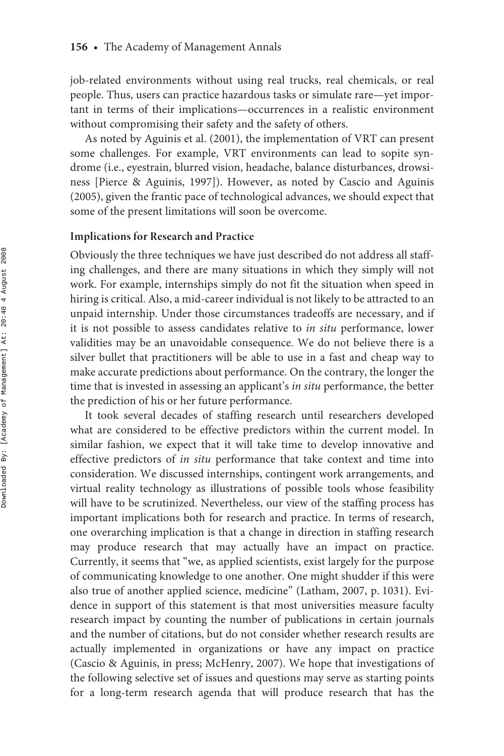#### 156 • The Academy of Management Annals

job-related environments without using real trucks, real chemicals, or real people. Thus, users can practice hazardous tasks or simulate rare—yet important in terms of their implications—occurrences in a realistic environment without compromising their safety and the safety of others.

As noted by Aguinis et al. (2001), the implementation of VRT can present some challenges. For example, VRT environments can lead to sopite syndrome (i.e., eyestrain, blurred vision, headache, balance disturbances, drowsiness [Pierce & Aguinis, 1997]). However, as noted by Cascio and Aguinis (2005), given the frantic pace of technological advances, we should expect that some of the present limitations will soon be overcome.

#### **Implications for Research and Practice**

Obviously the three techniques we have just described do not address all staffing challenges, and there are many situations in which they simply will not work. For example, internships simply do not fit the situation when speed in hiring is critical. Also, a mid-career individual is not likely to be attracted to an unpaid internship. Under those circumstances tradeoffs are necessary, and if it is not possible to assess candidates relative to *in situ* performance, lower validities may be an unavoidable consequence. We do not believe there is a silver bullet that practitioners will be able to use in a fast and cheap way to make accurate predictions about performance. On the contrary, the longer the time that is invested in assessing an applicant's *in situ* performance, the better the prediction of his or her future performance.

It took several decades of staffing research until researchers developed what are considered to be effective predictors within the current model. In similar fashion, we expect that it will take time to develop innovative and effective predictors of *in situ* performance that take context and time into consideration. We discussed internships, contingent work arrangements, and virtual reality technology as illustrations of possible tools whose feasibility will have to be scrutinized. Nevertheless, our view of the staffing process has important implications both for research and practice. In terms of research, one overarching implication is that a change in direction in staffing research may produce research that may actually have an impact on practice. Currently, it seems that "we, as applied scientists, exist largely for the purpose of communicating knowledge to one another. One might shudder if this were also true of another applied science, medicine" (Latham, 2007, p. 1031). Evidence in support of this statement is that most universities measure faculty research impact by counting the number of publications in certain journals and the number of citations, but do not consider whether research results are actually implemented in organizations or have any impact on practice (Cascio & Aguinis, in press; McHenry, 2007). We hope that investigations of the following selective set of issues and questions may serve as starting points for a long-term research agenda that will produce research that has the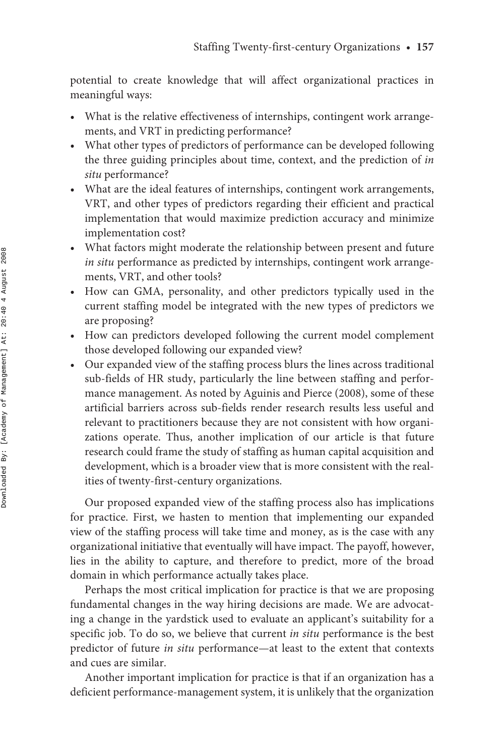potential to create knowledge that will affect organizational practices in meaningful ways:

- What is the relative effectiveness of internships, contingent work arrangements, and VRT in predicting performance?
- What other types of predictors of performance can be developed following the three guiding principles about time, context, and the prediction of *in situ* performance?
- What are the ideal features of internships, contingent work arrangements, VRT, and other types of predictors regarding their efficient and practical implementation that would maximize prediction accuracy and minimize implementation cost?
- What factors might moderate the relationship between present and future *in situ* performance as predicted by internships, contingent work arrangements, VRT, and other tools?
- How can GMA, personality, and other predictors typically used in the current staffing model be integrated with the new types of predictors we are proposing?
- How can predictors developed following the current model complement those developed following our expanded view?
- Our expanded view of the staffing process blurs the lines across traditional sub-fields of HR study, particularly the line between staffing and performance management. As noted by Aguinis and Pierce (2008), some of these artificial barriers across sub-fields render research results less useful and relevant to practitioners because they are not consistent with how organizations operate. Thus, another implication of our article is that future research could frame the study of staffing as human capital acquisition and development, which is a broader view that is more consistent with the realities of twenty-first-century organizations.

Our proposed expanded view of the staffing process also has implications for practice. First, we hasten to mention that implementing our expanded view of the staffing process will take time and money, as is the case with any organizational initiative that eventually will have impact. The payoff, however, lies in the ability to capture, and therefore to predict, more of the broad domain in which performance actually takes place.

Perhaps the most critical implication for practice is that we are proposing fundamental changes in the way hiring decisions are made. We are advocating a change in the yardstick used to evaluate an applicant's suitability for a specific job. To do so, we believe that current *in situ* performance is the best predictor of future *in situ* performance—at least to the extent that contexts and cues are similar.

Another important implication for practice is that if an organization has a deficient performance-management system, it is unlikely that the organization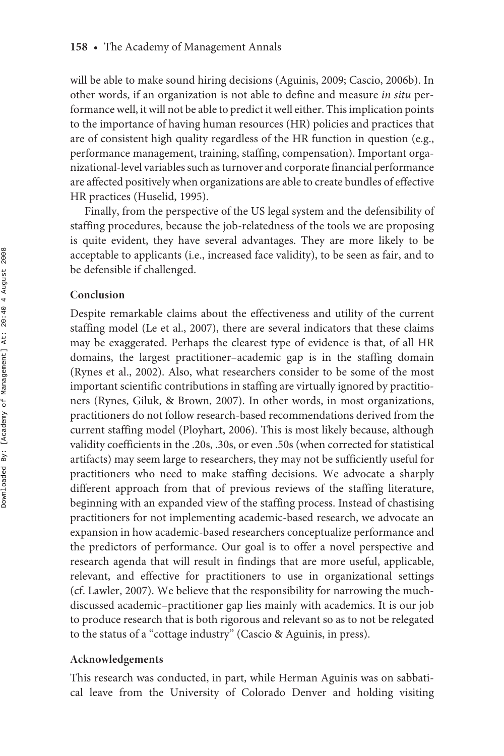will be able to make sound hiring decisions (Aguinis, 2009; Cascio, 2006b). In other words, if an organization is not able to define and measure *in situ* performance well, it will not be able to predict it well either. This implication points to the importance of having human resources (HR) policies and practices that are of consistent high quality regardless of the HR function in question (e.g., performance management, training, staffing, compensation). Important organizational-level variables such as turnover and corporate financial performance are affected positively when organizations are able to create bundles of effective HR practices (Huselid, 1995).

Finally, from the perspective of the US legal system and the defensibility of staffing procedures, because the job-relatedness of the tools we are proposing is quite evident, they have several advantages. They are more likely to be acceptable to applicants (i.e., increased face validity), to be seen as fair, and to be defensible if challenged.

#### **Conclusion**

Despite remarkable claims about the effectiveness and utility of the current staffing model (Le et al., 2007), there are several indicators that these claims may be exaggerated. Perhaps the clearest type of evidence is that, of all HR domains, the largest practitioner–academic gap is in the staffing domain (Rynes et al., 2002). Also, what researchers consider to be some of the most important scientific contributions in staffing are virtually ignored by practitioners (Rynes, Giluk, & Brown, 2007). In other words, in most organizations, practitioners do not follow research-based recommendations derived from the current staffing model (Ployhart, 2006). This is most likely because, although validity coefficients in the .20s, .30s, or even .50s (when corrected for statistical artifacts) may seem large to researchers, they may not be sufficiently useful for practitioners who need to make staffing decisions. We advocate a sharply different approach from that of previous reviews of the staffing literature, beginning with an expanded view of the staffing process. Instead of chastising practitioners for not implementing academic-based research, we advocate an expansion in how academic-based researchers conceptualize performance and the predictors of performance. Our goal is to offer a novel perspective and research agenda that will result in findings that are more useful, applicable, relevant, and effective for practitioners to use in organizational settings (cf. Lawler, 2007). We believe that the responsibility for narrowing the muchdiscussed academic–practitioner gap lies mainly with academics. It is our job to produce research that is both rigorous and relevant so as to not be relegated to the status of a "cottage industry" (Cascio & Aguinis, in press).

#### **Acknowledgements**

This research was conducted, in part, while Herman Aguinis was on sabbatical leave from the University of Colorado Denver and holding visiting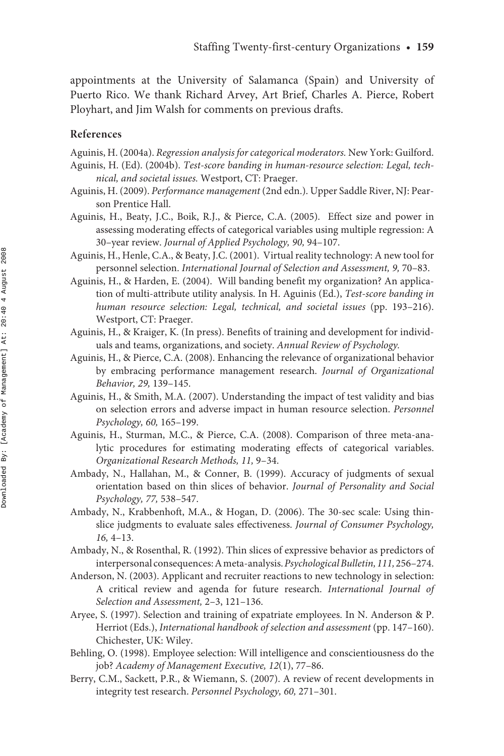appointments at the University of Salamanca (Spain) and University of Puerto Rico. We thank Richard Arvey, Art Brief, Charles A. Pierce, Robert Ployhart, and Jim Walsh for comments on previous drafts.

## **References**

Aguinis, H. (2004a). *Regression analysis for categorical moderators.* New York: Guilford.

- Aguinis, H. (Ed). (2004b). *Test-score banding in human-resource selection: Legal, technical, and societal issues.* Westport, CT: Praeger.
- Aguinis, H. (2009). *Performance management* (2nd edn.). Upper Saddle River, NJ: Pearson Prentice Hall.
- Aguinis, H., Beaty, J.C., Boik, R.J., & Pierce, C.A. (2005). Effect size and power in assessing moderating effects of categorical variables using multiple regression: A 30–year review. *Journal of Applied Psychology, 90,* 94–107.
- Aguinis, H., Henle, C.A., & Beaty, J.C. (2001). Virtual reality technology: A new tool for personnel selection. *International Journal of Selection and Assessment, 9,* 70–83.
- Aguinis, H., & Harden, E. (2004). Will banding benefit my organization? An application of multi-attribute utility analysis. In H. Aguinis (Ed.), *Test-score banding in human resource selection: Legal, technical, and societal issues* (pp. 193–216). Westport, CT: Praeger.
- Aguinis, H., & Kraiger, K. (In press). Benefits of training and development for individuals and teams, organizations, and society. *Annual Review of Psychology.*
- Aguinis, H., & Pierce, C.A. (2008). Enhancing the relevance of organizational behavior by embracing performance management research. *Journal of Organizational Behavior, 29,* 139–145.
- Aguinis, H., & Smith, M.A. (2007). Understanding the impact of test validity and bias on selection errors and adverse impact in human resource selection. *Personnel Psychology, 60,* 165–199.
- Aguinis, H., Sturman, M.C., & Pierce, C.A. (2008). Comparison of three meta-analytic procedures for estimating moderating effects of categorical variables. *Organizational Research Methods, 11,* 9–34.
- Ambady, N., Hallahan, M., & Conner, B. (1999). Accuracy of judgments of sexual orientation based on thin slices of behavior. *Journal of Personality and Social Psychology, 77,* 538–547.
- Ambady, N., Krabbenhoft, M.A., & Hogan, D. (2006). The 30-sec scale: Using thinslice judgments to evaluate sales effectiveness. *Journal of Consumer Psychology, 16,* 4–13.
- Ambady, N., & Rosenthal, R. (1992). Thin slices of expressive behavior as predictors of interpersonal consequences: A meta-analysis.*Psychological Bulletin, 111,*256–274.
- Anderson, N. (2003). Applicant and recruiter reactions to new technology in selection: A critical review and agenda for future research. *International Journal of Selection and Assessment,* 2–3, 121–136.
- Aryee, S. (1997). Selection and training of expatriate employees. In N. Anderson & P. Herriot (Eds.), *International handbook of selection and assessment* (pp. 147–160). Chichester, UK: Wiley.
- Behling, O. (1998). Employee selection: Will intelligence and conscientiousness do the job? *Academy of Management Executive, 12*(1), 77–86.
- Berry, C.M., Sackett, P.R., & Wiemann, S. (2007). A review of recent developments in integrity test research. *Personnel Psychology, 60,* 271–301.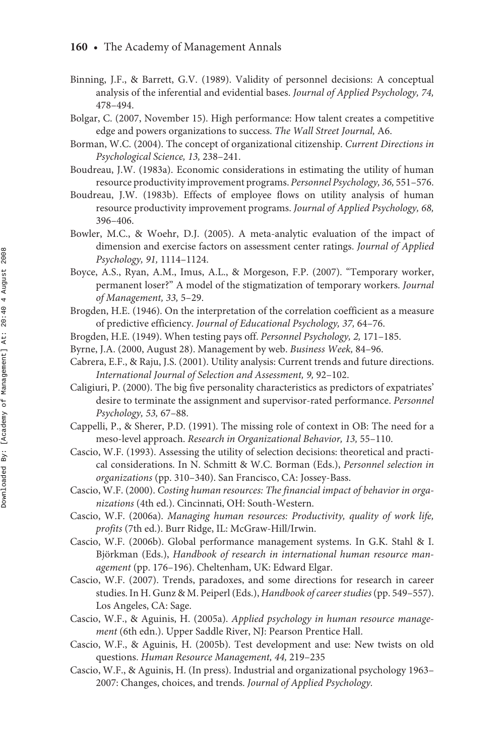- Binning, J.F., & Barrett, G.V. (1989). Validity of personnel decisions: A conceptual analysis of the inferential and evidential bases. *Journal of Applied Psychology, 74,* 478–494.
- Bolgar, C. (2007, November 15). High performance: How talent creates a competitive edge and powers organizations to success. *The Wall Street Journal,* A6.
- Borman, W.C. (2004). The concept of organizational citizenship. *Current Directions in Psychological Science, 13,* 238–241.
- Boudreau, J.W. (1983a). Economic considerations in estimating the utility of human resource productivity improvement programs. *Personnel Psychology, 36,* 551–576.
- Boudreau, J.W. (1983b). Effects of employee flows on utility analysis of human resource productivity improvement programs. *Journal of Applied Psychology, 68,* 396–406.
- Bowler, M.C., & Woehr, D.J. (2005). A meta-analytic evaluation of the impact of dimension and exercise factors on assessment center ratings. *Journal of Applied Psychology, 91,* 1114–1124.
- Boyce, A.S., Ryan, A.M., Imus, A.L., & Morgeson, F.P. (2007). "Temporary worker, permanent loser?" A model of the stigmatization of temporary workers. *Journal of Management, 33,* 5–29.
- Brogden, H.E. (1946). On the interpretation of the correlation coefficient as a measure of predictive efficiency. *Journal of Educational Psychology, 37,* 64–76.
- Brogden, H.E. (1949). When testing pays off. *Personnel Psychology, 2,* 171–185.
- Byrne, J.A. (2000, August 28). Management by web. *Business Week,* 84–96.
- Cabrera, E.F., & Raju, J.S. (2001). Utility analysis: Current trends and future directions. *International Journal of Selection and Assessment, 9,* 92–102.
- Caligiuri, P. (2000). The big five personality characteristics as predictors of expatriates' desire to terminate the assignment and supervisor-rated performance. *Personnel Psychology, 53,* 67–88.
- Cappelli, P., & Sherer, P.D. (1991). The missing role of context in OB: The need for a meso-level approach. *Research in Organizational Behavior, 13,* 55–110.
- Cascio, W.F. (1993). Assessing the utility of selection decisions: theoretical and practical considerations. In N. Schmitt & W.C. Borman (Eds.), *Personnel selection in organizations* (pp. 310–340). San Francisco, CA: Jossey-Bass.
- Cascio, W.F. (2000). *Costing human resources: The financial impact of behavior in organizations* (4th ed.). Cincinnati, OH: South-Western.
- Cascio, W.F. (2006a). *Managing human resources: Productivity, quality of work life, profits* (7th ed.). Burr Ridge, IL: McGraw-Hill/Irwin.
- Cascio, W.F. (2006b). Global performance management systems. In G.K. Stahl & I. Björkman (Eds.), *Handbook of research in international human resource management* (pp. 176–196). Cheltenham, UK: Edward Elgar.
- Cascio, W.F. (2007). Trends, paradoxes, and some directions for research in career studies. In H. Gunz & M. Peiperl (Eds.), *Handbook of career studies*(pp. 549–557). Los Angeles, CA: Sage.
- Cascio, W.F., & Aguinis, H. (2005a). *Applied psychology in human resource management* (6th edn.). Upper Saddle River, NJ: Pearson Prentice Hall.
- Cascio, W.F., & Aguinis, H. (2005b). Test development and use: New twists on old questions. *Human Resource Management, 44,* 219–235
- Cascio, W.F., & Aguinis, H. (In press). Industrial and organizational psychology 1963– 2007: Changes, choices, and trends. *Journal of Applied Psychology.*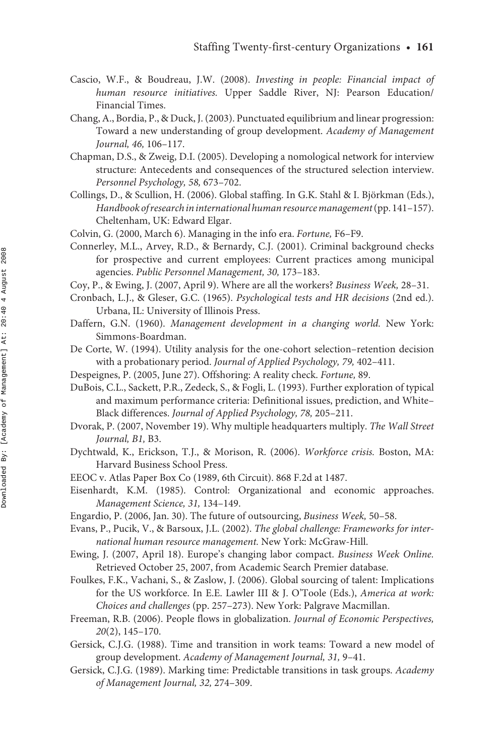- Cascio, W.F., & Boudreau, J.W. (2008). *Investing in people: Financial impact of human resource initiatives.* Upper Saddle River, NJ: Pearson Education/ Financial Times.
- Chang, A., Bordia, P., & Duck, J. (2003). Punctuated equilibrium and linear progression: Toward a new understanding of group development. *Academy of Management Journal, 46,* 106–117.
- Chapman, D.S., & Zweig, D.I. (2005). Developing a nomological network for interview structure: Antecedents and consequences of the structured selection interview. *Personnel Psychology, 58,* 673–702.
- Collings, D., & Scullion, H. (2006). Global staffing. In G.K. Stahl & I. Björkman (Eds.), *Handbook of research in international human resource management*(pp. 141–157). Cheltenham, UK: Edward Elgar.
- Colvin, G. (2000, March 6). Managing in the info era. *Fortune,* F6–F9.
- Connerley, M.L., Arvey, R.D., & Bernardy, C.J. (2001). Criminal background checks for prospective and current employees: Current practices among municipal agencies. *Public Personnel Management, 30,* 173–183.
- Coy, P., & Ewing, J. (2007, April 9). Where are all the workers? *Business Week,* 28–31.
- Cronbach, L.J., & Gleser, G.C. (1965). *Psychological tests and HR decisions* (2nd ed.). Urbana, IL: University of Illinois Press.
- Daffern, G.N. (1960). *Management development in a changing world.* New York: Simmons-Boardman.
- De Corte, W. (1994). Utility analysis for the one-cohort selection–retention decision with a probationary period. *Journal of Applied Psychology, 79,* 402–411.
- Despeignes, P. (2005, June 27). Offshoring: A reality check. *Fortune,* 89.
- DuBois, C.L., Sackett, P.R., Zedeck, S., & Fogli, L. (1993). Further exploration of typical and maximum performance criteria: Definitional issues, prediction, and White– Black differences. *Journal of Applied Psychology, 78,* 205–211.
- Dvorak, P. (2007, November 19). Why multiple headquarters multiply. *The Wall Street Journal, B1,* B3.
- Dychtwald, K., Erickson, T.J., & Morison, R. (2006). *Workforce crisis.* Boston, MA: Harvard Business School Press.
- EEOC v. Atlas Paper Box Co (1989, 6th Circuit). 868 F.2d at 1487.
- Eisenhardt, K.M. (1985). Control: Organizational and economic approaches. *Management Science, 31,* 134–149.
- Engardio, P. (2006, Jan. 30). The future of outsourcing, *Business Week,* 50–58.
- Evans, P., Pucik, V., & Barsoux, J.L. (2002). *The global challenge: Frameworks for international human resource management.* New York: McGraw-Hill.
- Ewing, J. (2007, April 18). Europe's changing labor compact. *Business Week Online.* Retrieved October 25, 2007, from Academic Search Premier database.
- Foulkes, F.K., Vachani, S., & Zaslow, J. (2006). Global sourcing of talent: Implications for the US workforce. In E.E. Lawler III & J. O'Toole (Eds.), *America at work: Choices and challenges* (pp. 257–273). New York: Palgrave Macmillan.
- Freeman, R.B. (2006). People flows in globalization. *Journal of Economic Perspectives, 20*(2), 145–170.
- Gersick, C.J.G. (1988). Time and transition in work teams: Toward a new model of group development. *Academy of Management Journal, 31,* 9–41.
- Gersick, C.J.G. (1989). Marking time: Predictable transitions in task groups. *Academy of Management Journal, 32,* 274–309.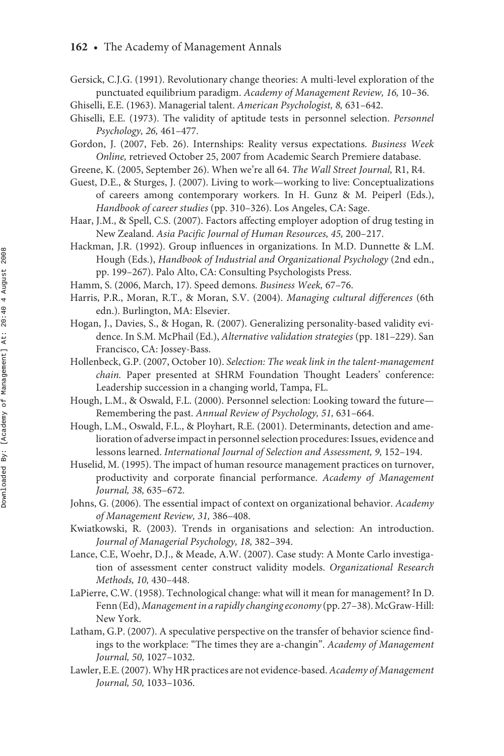Gersick, C.J.G. (1991). Revolutionary change theories: A multi-level exploration of the punctuated equilibrium paradigm. *Academy of Management Review, 16,* 10–36.

Ghiselli, E.E. (1963). Managerial talent. *American Psychologist, 8,* 631–642.

Ghiselli, E.E. (1973). The validity of aptitude tests in personnel selection. *Personnel Psychology, 26,* 461–477.

Gordon, J. (2007, Feb. 26). Internships: Reality versus expectations. *Business Week Online,* retrieved October 25, 2007 from Academic Search Premiere database.

Greene, K. (2005, September 26). When we're all 64. *The Wall Street Journal,* R1, R4.

- Guest, D.E., & Sturges, J. (2007). Living to work—working to live: Conceptualizations of careers among contemporary workers. In H. Gunz & M. Peiperl (Eds.), *Handbook of career studies* (pp. 310–326). Los Angeles, CA: Sage.
- Haar, J.M., & Spell, C.S. (2007). Factors affecting employer adoption of drug testing in New Zealand. *Asia Pacific Journal of Human Resources, 45,* 200–217.
- Hackman, J.R. (1992). Group influences in organizations. In M.D. Dunnette & L.M. Hough (Eds.), *Handbook of Industrial and Organizational Psychology* (2nd edn., pp. 199–267). Palo Alto, CA: Consulting Psychologists Press.
- Hamm, S. (2006, March, 17). Speed demons. *Business Week,* 67–76.
- Harris, P.R., Moran, R.T., & Moran, S.V. (2004). *Managing cultural differences* (6th edn.). Burlington, MA: Elsevier.
- Hogan, J., Davies, S., & Hogan, R. (2007). Generalizing personality-based validity evidence. In S.M. McPhail (Ed.), *Alternative validation strategies* (pp. 181–229). San Francisco, CA: Jossey-Bass.
- Hollenbeck, G.P. (2007, October 10). *Selection: The weak link in the talent-management chain.* Paper presented at SHRM Foundation Thought Leaders' conference: Leadership succession in a changing world, Tampa, FL.
- Hough, L.M., & Oswald, F.L. (2000). Personnel selection: Looking toward the future— Remembering the past. *Annual Review of Psychology, 51,* 631–664.
- Hough, L.M., Oswald, F.L., & Ployhart, R.E. (2001). Determinants, detection and amelioration of adverse impact in personnel selection procedures: Issues, evidence and lessons learned. *International Journal of Selection and Assessment, 9,* 152–194.
- Huselid, M. (1995). The impact of human resource management practices on turnover, productivity and corporate financial performance. *Academy of Management Journal, 38,* 635–672.
- Johns, G. (2006). The essential impact of context on organizational behavior. *Academy of Management Review, 31,* 386–408.
- Kwiatkowski, R. (2003). Trends in organisations and selection: An introduction. *Journal of Managerial Psychology, 18,* 382–394.
- Lance, C.E, Woehr, D.J., & Meade, A.W. (2007). Case study: A Monte Carlo investigation of assessment center construct validity models. *Organizational Research Methods, 10,* 430–448.
- LaPierre, C.W. (1958). Technological change: what will it mean for management? In D. Fenn (Ed),*Management in a rapidly changing economy* (pp. 27–38). McGraw-Hill: New York.
- Latham, G.P. (2007). A speculative perspective on the transfer of behavior science findings to the workplace: "The times they are a-changin". *Academy of Management Journal, 50,* 1027–1032.
- Lawler, E.E. (2007). Why HR practices are not evidence-based.*Academy of Management Journal, 50,* 1033–1036.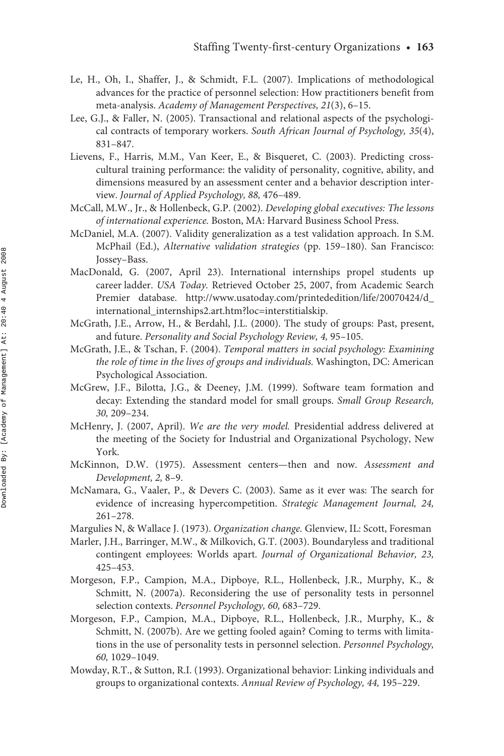- Le, H., Oh, I., Shaffer, J., & Schmidt, F.L. (2007). Implications of methodological advances for the practice of personnel selection: How practitioners benefit from meta-analysis. *Academy of Management Perspectives, 21*(3), 6–15.
- Lee, G.J., & Faller, N. (2005). Transactional and relational aspects of the psychological contracts of temporary workers. *South African Journal of Psychology, 35*(4), 831–847.
- Lievens, F., Harris, M.M., Van Keer, E., & Bisqueret, C. (2003). Predicting crosscultural training performance: the validity of personality, cognitive, ability, and dimensions measured by an assessment center and a behavior description interview. *Journal of Applied Psychology, 88,* 476–489.
- McCall, M.W., Jr., & Hollenbeck, G.P. (2002). *Developing global executives: The lessons of international experience.* Boston, MA: Harvard Business School Press.
- McDaniel, M.A. (2007). Validity generalization as a test validation approach. In S.M. McPhail (Ed.), *Alternative validation strategies* (pp. 159–180). San Francisco: Jossey–Bass.
- MacDonald, G. (2007, April 23). International internships propel students up career ladder. *USA Today.* Retrieved October 25, 2007, from Academic Search Premier database. http://www.usatoday.com/printededition/life/20070424/d\_ international\_internships2.art.htm?loc=interstitialskip.
- McGrath, J.E., Arrow, H., & Berdahl, J.L. (2000). The study of groups: Past, present, and future. *Personality and Social Psychology Review, 4,* 95–105.
- McGrath, J.E., & Tschan, F. (2004). *Temporal matters in social psychology: Examining the role of time in the lives of groups and individuals.* Washington, DC: American Psychological Association.
- McGrew, J.F., Bilotta, J.G., & Deeney, J.M. (1999). Software team formation and decay: Extending the standard model for small groups. *Small Group Research, 30,* 209–234.
- McHenry, J. (2007, April). *We are the very model.* Presidential address delivered at the meeting of the Society for Industrial and Organizational Psychology, New York.
- McKinnon, D.W. (1975). Assessment centers—then and now. *Assessment and Development, 2,* 8–9.
- McNamara, G., Vaaler, P., & Devers C. (2003). Same as it ever was: The search for evidence of increasing hypercompetition. *Strategic Management Journal, 24,* 261–278.
- Margulies N, & Wallace J. (1973). *Organization change.* Glenview, IL: Scott, Foresman
- Marler, J.H., Barringer, M.W., & Milkovich, G.T. (2003). Boundaryless and traditional contingent employees: Worlds apart. *Journal of Organizational Behavior, 23,* 425–453.
- Morgeson, F.P., Campion, M.A., Dipboye, R.L., Hollenbeck, J.R., Murphy, K., & Schmitt, N. (2007a). Reconsidering the use of personality tests in personnel selection contexts. *Personnel Psychology, 60,* 683–729.
- Morgeson, F.P., Campion, M.A., Dipboye, R.L., Hollenbeck, J.R., Murphy, K., & Schmitt, N. (2007b). Are we getting fooled again? Coming to terms with limitations in the use of personality tests in personnel selection. *Personnel Psychology, 60,* 1029–1049.
- Mowday, R.T., & Sutton, R.I. (1993). Organizational behavior: Linking individuals and groups to organizational contexts. *Annual Review of Psychology, 44,* 195–229.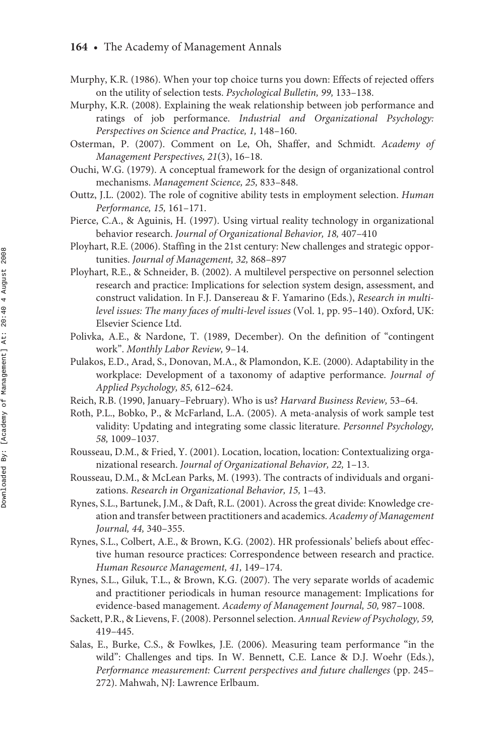- Murphy, K.R. (1986). When your top choice turns you down: Effects of rejected offers on the utility of selection tests. *Psychological Bulletin, 99,* 133–138.
- Murphy, K.R. (2008). Explaining the weak relationship between job performance and ratings of job performance. *Industrial and Organizational Psychology: Perspectives on Science and Practice, 1,* 148–160.
- Osterman, P. (2007). Comment on Le, Oh, Shaffer, and Schmidt. *Academy of Management Perspectives, 21*(3), 16–18.
- Ouchi, W.G. (1979). A conceptual framework for the design of organizational control mechanisms. *Management Science, 25,* 833–848.
- Outtz, J.L. (2002). The role of cognitive ability tests in employment selection. *Human Performance, 15,* 161–171.
- Pierce, C.A., & Aguinis, H. (1997). Using virtual reality technology in organizational behavior research. *Journal of Organizational Behavior, 18,* 407–410
- Ployhart, R.E. (2006). Staffing in the 21st century: New challenges and strategic opportunities. *Journal of Management, 32,* 868–897
- Ployhart, R.E., & Schneider, B. (2002). A multilevel perspective on personnel selection research and practice: Implications for selection system design, assessment, and construct validation. In F.J. Dansereau & F. Yamarino (Eds.), *Research in multilevel issues: The many faces of multi-level issues* (Vol. 1, pp. 95-140). Oxford, UK: Elsevier Science Ltd.
- Polivka, A.E., & Nardone, T. (1989, December). On the definition of "contingent work". *Monthly Labor Review,* 9–14.
- Pulakos, E.D., Arad, S., Donovan, M.A., & Plamondon, K.E. (2000). Adaptability in the workplace: Development of a taxonomy of adaptive performance. *Journal of Applied Psychology, 85,* 612–624.
- Reich, R.B. (1990, January–February). Who is us? *Harvard Business Review,* 53–64.
- Roth, P.L., Bobko, P., & McFarland, L.A. (2005). A meta-analysis of work sample test validity: Updating and integrating some classic literature. *Personnel Psychology, 58,* 1009–1037.
- Rousseau, D.M., & Fried, Y. (2001). Location, location, location: Contextualizing organizational research. *Journal of Organizational Behavior, 22,* 1–13.
- Rousseau, D.M., & McLean Parks, M. (1993). The contracts of individuals and organizations. *Research in Organizational Behavior, 15,* 1–43.
- Rynes, S.L., Bartunek, J.M., & Daft, R.L. (2001). Across the great divide: Knowledge creation and transfer between practitioners and academics.*Academy of Management Journal, 44,* 340–355.
- Rynes, S.L., Colbert, A.E., & Brown, K.G. (2002). HR professionals' beliefs about effective human resource practices: Correspondence between research and practice. *Human Resource Management, 41,* 149–174.
- Rynes, S.L., Giluk, T.L., & Brown, K.G. (2007). The very separate worlds of academic and practitioner periodicals in human resource management: Implications for evidence-based management. *Academy of Management Journal, 50,* 987–1008.
- Sackett, P.R., & Lievens, F. (2008). Personnel selection. *Annual Review of Psychology, 59,* 419–445.
- Salas, E., Burke, C.S., & Fowlkes, J.E. (2006). Measuring team performance "in the wild": Challenges and tips. In W. Bennett, C.E. Lance & D.J. Woehr (Eds.), *Performance measurement: Current perspectives and future challenges* (pp. 245– 272). Mahwah, NJ: Lawrence Erlbaum.